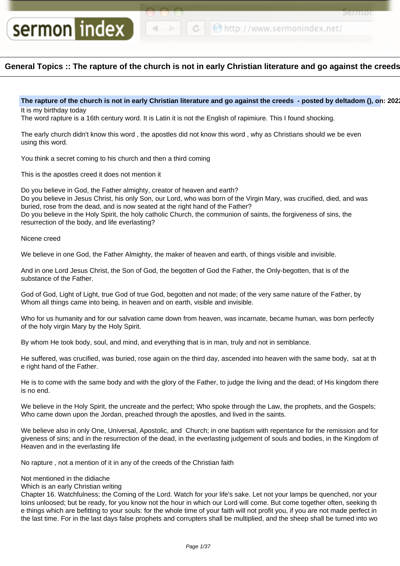```
← ● http://www.sermonindex.net/
```
Sel Itiol

# **General Topics :: The rapture of the church is not in early Christian literature and go against the creeds**

The rapture of the church is not in early Christian literature and go against the creeds - posted by deltadom (), on: 202 It is my birthday today

The word rapture is a 16th century word. It is Latin it is not the English of rapimiure. This I found shocking.

The early church didn't know this word , the apostles did not know this word , why as Christians should we be even using this word.

You think a secret coming to his church and then a third coming

This is the apostles creed it does not mention it

sermon index

Do you believe in God, the Father almighty, creator of heaven and earth? Do you believe in Jesus Christ, his only Son, our Lord, who was born of the Virgin Mary, was crucified, died, and was buried, rose from the dead, and is now seated at the right hand of the Father? Do you believe in the Holy Spirit, the holy catholic Church, the communion of saints, the forgiveness of sins, the resurrection of the body, and life everlasting?

# Nicene creed

We believe in one God, the Father Almighty, the maker of heaven and earth, of things visible and invisible.

And in one Lord Jesus Christ, the Son of God, the begotten of God the Father, the Only-begotten, that is of the substance of the Father.

God of God, Light of Light, true God of true God, begotten and not made; of the very same nature of the Father, by Whom all things came into being, in heaven and on earth, visible and invisible.

Who for us humanity and for our salvation came down from heaven, was incarnate, became human, was born perfectly of the holy virgin Mary by the Holy Spirit.

By whom He took body, soul, and mind, and everything that is in man, truly and not in semblance.

He suffered, was crucified, was buried, rose again on the third day, ascended into heaven with the same body, sat at th e right hand of the Father.

He is to come with the same body and with the glory of the Father, to judge the living and the dead; of His kingdom there is no end.

We believe in the Holy Spirit, the uncreate and the perfect; Who spoke through the Law, the prophets, and the Gospels; Who came down upon the Jordan, preached through the apostles, and lived in the saints.

We believe also in only One, Universal, Apostolic, and Church; in one baptism with repentance for the remission and for giveness of sins; and in the resurrection of the dead, in the everlasting judgement of souls and bodies, in the Kingdom of Heaven and in the everlasting life

No rapture , not a mention of it in any of the creeds of the Christian faith

# Not mentioned in the didiache

Which is an early Christian writing

Chapter 16. Watchfulness; the Coming of the Lord. Watch for your life's sake. Let not your lamps be quenched, nor your loins unloosed; but be ready, for you know not the hour in which our Lord will come. But come together often, seeking th e things which are befitting to your souls: for the whole time of your faith will not profit you, if you are not made perfect in the last time. For in the last days false prophets and corrupters shall be multiplied, and the sheep shall be turned into wo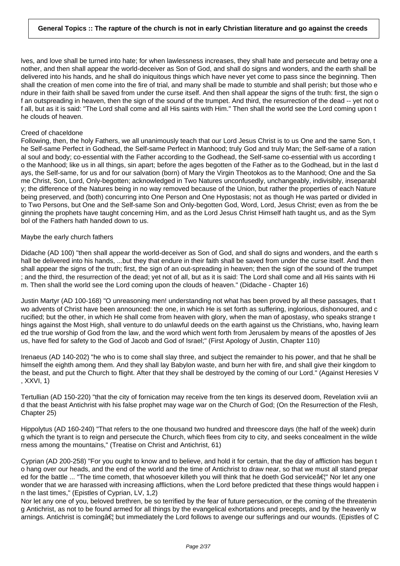lves, and love shall be turned into hate; for when lawlessness increases, they shall hate and persecute and betray one a nother, and then shall appear the world-deceiver as Son of God, and shall do signs and wonders, and the earth shall be delivered into his hands, and he shall do iniquitous things which have never yet come to pass since the beginning. Then shall the creation of men come into the fire of trial, and many shall be made to stumble and shall perish; but those who e ndure in their faith shall be saved from under the curse itself. And then shall appear the signs of the truth: first, the sign o f an outspreading in heaven, then the sign of the sound of the trumpet. And third, the resurrection of the dead -- yet not o f all, but as it is said: "The Lord shall come and all His saints with Him." Then shall the world see the Lord coming upon t he clouds of heaven.

### Creed of chaceldone

Following, then, the holy Fathers, we all unanimously teach that our Lord Jesus Christ is to us One and the same Son, t he Self-same Perfect in Godhead, the Self-same Perfect in Manhood; truly God and truly Man; the Self-same of a ration al soul and body; co-essential with the Father according to the Godhead, the Self-same co-essential with us according t o the Manhood; like us in all things, sin apart; before the ages begotten of the Father as to the Godhead, but in the last d ays, the Self-same, for us and for our salvation (born) of Mary the Virgin Theotokos as to the Manhood; One and the Sa me Christ, Son, Lord, Only-begotten; acknowledged in Two Natures unconfusedly, unchangeably, indivisibly, inseparabl y; the difference of the Natures being in no way removed because of the Union, but rather the properties of each Nature being preserved, and (both) concurring into One Person and One Hypostasis; not as though He was parted or divided in to Two Persons, but One and the Self-same Son and Only-begotten God, Word, Lord, Jesus Christ; even as from the be ginning the prophets have taught concerning Him, and as the Lord Jesus Christ Himself hath taught us, and as the Sym bol of the Fathers hath handed down to us.

# Maybe the early church fathers

Didache (AD 100) "then shall appear the world-deceiver as Son of God, and shall do signs and wonders, and the earth s hall be delivered into his hands, ...but they that endure in their faith shall be saved from under the curse itself. And then shall appear the signs of the truth; first, the sign of an out-spreading in heaven; then the sign of the sound of the trumpet ; and the third, the resurrection of the dead; yet not of all, but as it is said: The Lord shall come and all His saints with Hi m. Then shall the world see the Lord coming upon the clouds of heaven." (Didache - Chapter 16)

Justin Martyr (AD 100-168) "O unreasoning men! understanding not what has been proved by all these passages, that t wo advents of Christ have been announced: the one, in which He is set forth as suffering, inglorious, dishonoured, and c rucified; but the other, in which He shall come from heaven with glory, when the man of apostasy, who speaks strange t hings against the Most High, shall venture to do unlawful deeds on the earth against us the Christians, who, having learn ed the true worship of God from the law, and the word which went forth from Jerusalem by means of the apostles of Jes us, have fled for safety to the God of Jacob and God of Israel;" (First Apology of Justin, Chapter 110)

Irenaeus (AD 140-202) "he who is to come shall slay three, and subject the remainder to his power, and that he shall be himself the eighth among them. And they shall lay Babylon waste, and burn her with fire, and shall give their kingdom to the beast, and put the Church to flight. After that they shall be destroyed by the coming of our Lord." (Against Heresies V , XXVI, 1)

Tertullian (AD 150-220) "that the city of fornication may receive from the ten kings its deserved doom, Revelation xviii an d that the beast Antichrist with his false prophet may wage war on the Church of God; (On the Resurrection of the Flesh, Chapter 25)

Hippolytus (AD 160-240) "That refers to the one thousand two hundred and threescore days (the half of the week) durin g which the tyrant is to reign and persecute the Church, which flees from city to city, and seeks concealment in the wilde rness among the mountains," (Treatise on Christ and Antichrist, 61)

Cyprian (AD 200-258) "For you ought to know and to believe, and hold it for certain, that the day of affliction has begun t o hang over our heads, and the end of the world and the time of Antichrist to draw near, so that we must all stand prepar ed for the battle ... "The time cometh, that whosoever killeth you will think that he doeth God service a is Nor let any one wonder that we are harassed with increasing afflictions, when the Lord before predicted that these things would happen i n the last times," (Epistles of Cyprian, LV, 1,2)

Nor let any one of you, beloved brethren, be so terrified by the fear of future persecution, or the coming of the threatenin g Antichrist, as not to be found armed for all things by the evangelical exhortations and precepts, and by the heavenly w arnings. Antichrist is coming†but immediately the Lord follows to avenge our sufferings and our wounds. (Epistles of C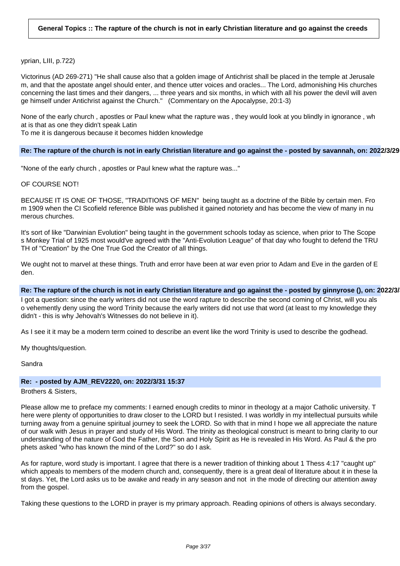yprian, LIII, p.722)

Victorinus (AD 269-271) "He shall cause also that a golden image of Antichrist shall be placed in the temple at Jerusale m, and that the apostate angel should enter, and thence utter voices and oracles... The Lord, admonishing His churches concerning the last times and their dangers, ... three years and six months, in which with all his power the devil will aven ge himself under Antichrist against the Church." (Commentary on the Apocalypse, 20:1-3)

None of the early church , apostles or Paul knew what the rapture was , they would look at you blindly in ignorance , wh at is that as one they didn't speak Latin

To me it is dangerous because it becomes hidden knowledge

#### **Re: The rapture of the church is not in early Christian literature and go against the - posted by savannah, on: 2022/3/29 15:36**

"None of the early church , apostles or Paul knew what the rapture was..."

#### OF COURSE NOT!

BECAUSE IT IS ONE OF THOSE, "TRADITIONS OF MEN" being taught as a doctrine of the Bible by certain men. Fro m 1909 when the CI Scofield reference Bible was published it gained notoriety and has become the view of many in nu merous churches.

It's sort of like "Darwinian Evolution" being taught in the government schools today as science, when prior to The Scope s Monkey Trial of 1925 most would've agreed with the "Anti-Evolution League" of that day who fought to defend the TRU TH of "Creation" by the One True God the Creator of all things.

We ought not to marvel at these things. Truth and error have been at war even prior to Adam and Eve in the garden of E den.

#### **Re: The rapture of the church is not in early Christian literature and go against the - posted by ginnyrose (), on: 2022/3/31 13:42**

I got a question: since the early writers did not use the word rapture to describe the second coming of Christ, will you als o vehemently deny using the word Trinity because the early writers did not use that word (at least to my knowledge they didn't - this is why Jehovah's Witnesses do not believe in it).

As I see it it may be a modern term coined to describe an event like the word Trinity is used to describe the godhead.

My thoughts/question.

Sandra

#### **Re: - posted by AJM\_REV2220, on: 2022/3/31 15:37**

Brothers & Sisters,

Please allow me to preface my comments: I earned enough credits to minor in theology at a major Catholic university. T here were plenty of opportunities to draw closer to the LORD but I resisted. I was worldly in my intellectual pursuits while turning away from a genuine spiritual journey to seek the LORD. So with that in mind I hope we all appreciate the nature of our walk with Jesus in prayer and study of His Word. The trinity as theological construct is meant to bring clarity to our understanding of the nature of God the Father, the Son and Holy Spirit as He is revealed in His Word. As Paul & the pro phets asked "who has known the mind of the Lord?" so do I ask.

As for rapture, word study is important. I agree that there is a newer tradition of thinking about 1 Thess 4:17 "caught up" which appeals to members of the modern church and, consequently, there is a great deal of literature about it in these la st days. Yet, the Lord asks us to be awake and ready in any season and not in the mode of directing our attention away from the gospel.

Taking these questions to the LORD in prayer is my primary approach. Reading opinions of others is always secondary.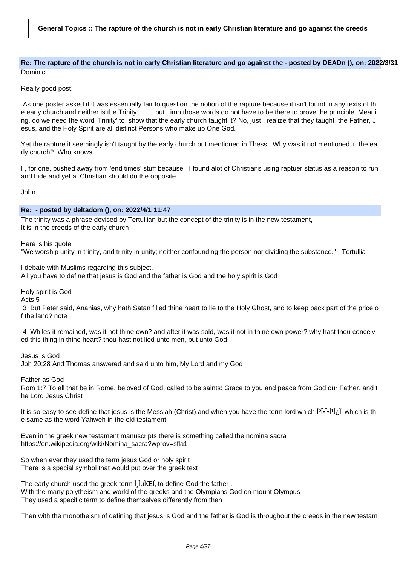Re: The rapture of the church is not in early Christian literature and go against the - posted by DEADn (), on: 2022/3/31 Dominic

Really good post!

As one poster asked if it was essentially fair to question the notion of the rapture because it isn't found in any texts of th e early church and neither is the Trinity..........but imo those words do not have to be there to prove the principle. Meani ng, do we need the word 'Trinity' to show that the early church taught it? No, just realize that they taught the Father, J esus, and the Holy Spirit are all distinct Persons who make up One God.

Yet the rapture it seemingly isn't taught by the early church but mentioned in Thess. Why was it not mentioned in the ea rly church? Who knows.

I , for one, pushed away from 'end times' stuff because I found alot of Christians using raptuer status as a reason to run and hide and yet a Christian should do the opposite.

John

# **Re: - posted by deltadom (), on: 2022/4/1 11:47**

The trinity was a phrase devised by Tertullian but the concept of the trinity is in the new testament, It is in the creeds of the early church

Here is his quote

"We worship unity in trinity, and trinity in unity; neither confounding the person nor dividing the substance." - Tertullia

I debate with Muslims regarding this subject.

All you have to define that jesus is God and the father is God and the holy spirit is God

Holy spirit is God

Acts 5

3 But Peter said, Ananias, why hath Satan filled thine heart to lie to the Holy Ghost, and to keep back part of the price o f the land? note

4 Whiles it remained, was it not thine own? and after it was sold, was it not in thine own power? why hast thou conceiv ed this thing in thine heart? thou hast not lied unto men, but unto God

Jesus is God Joh 20:28 And Thomas answered and said unto him, My Lord and my God

Father as God

Rom 1:7 To all that be in Rome, beloved of God, called to be saints: Grace to you and peace from God our Father, and t he Lord Jesus Christ

It is so easy to see define that jesus is the Messiah (Christ) and when you have the term lord which  $\hat{P}$ <sup>[0]</sup> $\hat{P}$ [1], which is th e same as the word Yahweh in the old testament

Even in the greek new testament manuscripts there is something called the nomina sacra https://en.wikipedia.org/wiki/Nomina\_sacra?wprov=sfla1

So when ever they used the term jesus God or holy spirit There is a special symbol that would put over the greek text

The early church used the greek term  $\hat{I}$  luicel, to define God the father. With the many polytheism and world of the greeks and the Olympians God on mount Olympus They used a specific term to define themselves differently from then

Then with the monotheism of defining that jesus is God and the father is God is throughout the creeds in the new testam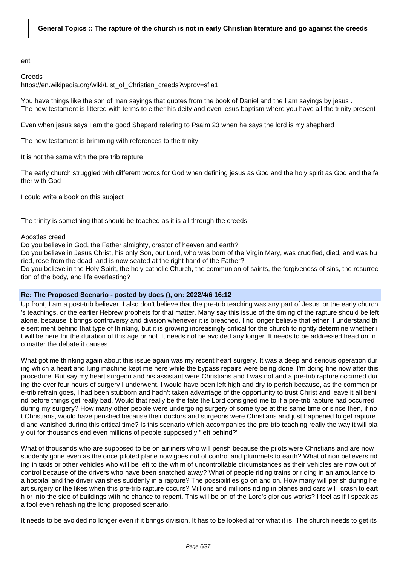ent

### **Creeds**

https://en.wikipedia.org/wiki/List\_of\_Christian\_creeds?wprov=sfla1

You have things like the son of man sayings that quotes from the book of Daniel and the I am sayings by jesus. The new testament is littered with terms to either his deity and even jesus baptism where you have all the trinity present

Even when jesus says I am the good Shepard refering to Psalm 23 when he says the lord is my shepherd

The new testament is brimming with references to the trinity

It is not the same with the pre trib rapture

The early church struggled with different words for God when defining jesus as God and the holy spirit as God and the fa ther with God

I could write a book on this subject

The trinity is something that should be teached as it is all through the creeds

### Apostles creed

Do you believe in God, the Father almighty, creator of heaven and earth?

Do you believe in Jesus Christ, his only Son, our Lord, who was born of the Virgin Mary, was crucified, died, and was bu ried, rose from the dead, and is now seated at the right hand of the Father?

Do you believe in the Holy Spirit, the holy catholic Church, the communion of saints, the forgiveness of sins, the resurrec tion of the body, and life everlasting?

# **Re: The Proposed Scenario - posted by docs (), on: 2022/4/6 16:12**

Up front, I am a post-trib believer. I also don't believe that the pre-trib teaching was any part of Jesus' or the early church 's teachings, or the earlier Hebrew prophets for that matter. Many say this issue of the timing of the rapture should be left alone, because it brings controversy and division whenever it is breached. I no longer believe that either. I understand th e sentiment behind that type of thinking, but it is growing increasingly critical for the church to rightly determine whether i t will be here for the duration of this age or not. It needs not be avoided any longer. It needs to be addressed head on, n o matter the debate it causes.

What got me thinking again about this issue again was my recent heart surgery. It was a deep and serious operation dur ing which a heart and lung machine kept me here while the bypass repairs were being done. I'm doing fine now after this procedure. But say my heart surgeon and his assistant were Christians and I was not and a pre-trib rapture occurred dur ing the over four hours of surgery I underwent. I would have been left high and dry to perish because, as the common pr e-trib refrain goes, I had been stubborn and hadn't taken advantage of the opportunity to trust Christ and leave it all behi nd before things get really bad. Would that really be the fate the Lord consigned me to if a pre-trib rapture had occurred during my surgery? How many other people were undergoing surgery of some type at this same time or since then, if no t Christians, would have perished because their doctors and surgeons were Christians and just happened to get rapture d and vanished during this critical time? Is this scenario which accompanies the pre-trib teaching really the way it will pla y out for thousands end even millions of people supposedly "left behind?"

What of thousands who are supposed to be on airliners who will perish because the pilots were Christians and are now suddenly gone even as the once piloted plane now goes out of control and plummets to earth? What of non believers rid ing in taxis or other vehicles who will be left to the whim of uncontrollable circumstances as their vehicles are now out of control because of the drivers who have been snatched away? What of people riding trains or riding in an ambulance to a hospital and the driver vanishes suddenly in a rapture? The possibilities go on and on. How many will perish during he art surgery or the likes when this pre-trib rapture occurs? Millions and millions riding in planes and cars will crash to eart h or into the side of buildings with no chance to repent. This will be on of the Lord's glorious works? I feel as if I speak as a fool even rehashing the long proposed scenario.

It needs to be avoided no longer even if it brings division. It has to be looked at for what it is. The church needs to get its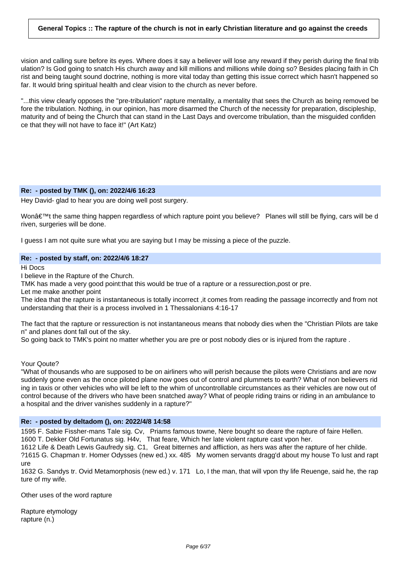vision and calling sure before its eyes. Where does it say a believer will lose any reward if they perish during the final trib ulation? Is God going to snatch His church away and kill millions and millions while doing so? Besides placing faith in Ch rist and being taught sound doctrine, nothing is more vital today than getting this issue correct which hasn't happened so far. It would bring spiritual health and clear vision to the church as never before.

"...this view clearly opposes the "pre-tribulation" rapture mentality, a mentality that sees the Church as being removed be fore the tribulation. Nothing, in our opinion, has more disarmed the Church of the necessity for preparation, discipleship, maturity and of being the Church that can stand in the Last Days and overcome tribulation, than the misguided confiden ce that they will not have to face it!" (Art Katz)

### **Re: - posted by TMK (), on: 2022/4/6 16:23**

Hey David- glad to hear you are doing well post surgery.

Won't the same thing happen regardless of which rapture point you believe? Planes will still be flying, cars will be d riven, surgeries will be done.

I guess I am not quite sure what you are saying but I may be missing a piece of the puzzle.

### **Re: - posted by staff, on: 2022/4/6 18:27**

Hi Docs

I believe in the Rapture of the Church.

TMK has made a very good point:that this would be true of a rapture or a ressurection,post or pre.

Let me make another point

The idea that the rapture is instantaneous is totally incorrect ,it comes from reading the passage incorrectly and from not understanding that their is a process involved in 1 Thessalonians 4:16-17

The fact that the rapture or ressurection is not instantaneous means that nobody dies when the "Christian Pilots are take n" and planes dont fall out of the sky.

So going back to TMK's point no matter whether you are pre or post nobody dies or is injured from the rapture .

### Your Qoute?

"What of thousands who are supposed to be on airliners who will perish because the pilots were Christians and are now suddenly gone even as the once piloted plane now goes out of control and plummets to earth? What of non believers rid ing in taxis or other vehicles who will be left to the whim of uncontrollable circumstances as their vehicles are now out of control because of the drivers who have been snatched away? What of people riding trains or riding in an ambulance to a hospital and the driver vanishes suddenly in a rapture?"

### **Re: - posted by deltadom (), on: 2022/4/8 14:58**

1595 F. Sabie Fissher-mans Tale sig. Cv, Priams famous towne, Nere bought so deare the rapture of faire Hellen. 1600 T. Dekker Old Fortunatus sig. H4v, That feare, Which her late violent rapture cast vpon her.

1612 Life & Death Lewis Gaufredy sig. C1, Great bitternes and affliction, as hers was after the rapture of her childe. ?1615 G. Chapman tr. Homer Odysses (new ed.) xx. 485 My women servants dragg'd about my house To lust and rapt ure

1632 G. Sandys tr. Ovid Metamorphosis (new ed.) v. 171 Lo, I the man, that will vpon thy life Reuenge, said he, the rap ture of my wife.

Other uses of the word rapture

Rapture etymology rapture (n.)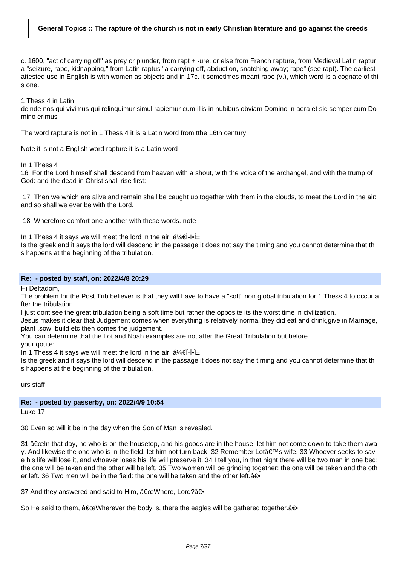c. 1600, "act of carrying off" as prey or plunder, from rapt + -ure, or else from French rapture, from Medieval Latin raptur a "seizure, rape, kidnapping," from Latin raptus "a carrying off, abduction, snatching away; rape" (see rapt). The earliest attested use in English is with women as objects and in 17c. it sometimes meant rape (v.), which word is a cognate of thi s one.

1 Thess 4 in Latin

deinde nos qui vivimus qui relinquimur simul rapiemur cum illis in nubibus obviam Domino in aera et sic semper cum Do mino erimus

The word rapture is not in 1 Thess 4 it is a Latin word from tthe 16th century

Note it is not a English word rapture it is a Latin word

In 1 Thess 4

16 For the Lord himself shall descend from heaven with a shout, with the voice of the archangel, and with the trump of God: and the dead in Christ shall rise first:

17 Then we which are alive and remain shall be caught up together with them in the clouds, to meet the Lord in the air: and so shall we ever be with the Lord.

18 Wherefore comfort one another with these words. note

In 1 Thess 4 it says we will meet the lord in the air.  $a/4\theta$ - $\theta$ - $\theta$ 

Is the greek and it says the lord will descend in the passage it does not say the timing and you cannot determine that thi s happens at the beginning of the tribulation.

#### **Re: - posted by staff, on: 2022/4/8 20:29**

Hi Deltadom,

The problem for the Post Trib believer is that they will have to have a "soft" non global tribulation for 1 Thess 4 to occur a fter the tribulation.

I just dont see the great tribulation being a soft time but rather the opposite its the worst time in civilization.

Jesus makes it clear that Judgement comes when everything is relatively normal,they did eat and drink,give in Marriage, plant ,sow ,build etc then comes the judgement.

You can determine that the Lot and Noah examples are not after the Great Tribulation but before.

your qoute:

In 1 Thess 4 it says we will meet the lord in the air.  $a/4\theta$ - $\theta$ - $\pm$ 

Is the greek and it says the lord will descend in the passage it does not say the timing and you cannot determine that thi s happens at the beginning of the tribulation,

urs staff

# **Re: - posted by passerby, on: 2022/4/9 10:54**

Luke 17

30 Even so will it be in the day when the Son of Man is revealed.

31  $\hat{a}$   $\in$  celn that day, he who is on the housetop, and his goods are in the house, let him not come down to take them awa y. And likewise the one who is in the field, let him not turn back. 32 Remember Lot's wife. 33 Whoever seeks to sav e his life will lose it, and whoever loses his life will preserve it. 34 I tell you, in that night there will be two men in one bed: the one will be taken and the other will be left. 35 Two women will be grinding together: the one will be taken and the oth er left. 36 Two men will be in the field: the one will be taken and the other left.  $\hat{a} \in \{$ 

37 And they answered and said to Him,  $\hat{a} \in \text{ceWhere}$ , Lord? $\hat{a} \in \text{ceWhere}$ 

So He said to them,  $\hat{a} \in \mathbb{C}$ Wherever the body is, there the eagles will be gathered together.  $\hat{a} \in \{ \}$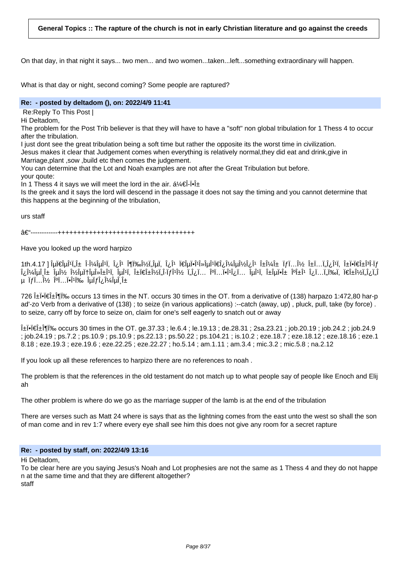On that day, in that night it says... two men... and two women...taken...left...something extraordinary will happen.

What is that day or night, second coming? Some people are raptured?

### **Re: - posted by deltadom (), on: 2022/4/9 11:41**

Re: Reply To This Post I

Hi Deltadom,

The problem for the Post Trib believer is that they will have to have a "soft" non global tribulation for 1 Thess 4 to occur after the tribulation.

I just dont see the great tribulation being a soft time but rather the opposite its the worst time in civilization.

Jesus makes it clear that Judgement comes when everything is relatively normal,they did eat and drink,give in Marriage,plant ,sow ,build etc then comes the judgement.

You can determine that the Lot and Noah examples are not after the Great Tribulation but before. your qoute:

In 1 Thess 4 it says we will meet the lord in the air.  $a^2/(\hat{\mathbf{f}}-\hat{\mathbf{g}})^2 + \hat{\mathbf{g}}$ 

Is the greek and it says the lord will descend in the passage it does not say the timing and you cannot determine that this happens at the beginning of the tribulation,

urs staff

#### –------------+++++++++++++++++++++++++++++++++++

Have you looked up the word harpizo

1th.4.17 ] اَبِدَانَ إِنَّاسِ اللَّهِ وَكِنَاسِ الْمَالِمِينَ وَاللَّهُ وَاللَّهُ وَاللَّهُ وَاللَّهُ وَاللَّه<br>16-i+ivid اَقْطَعَةُ وَاللَّهُ وَاللَّهُ وَاللَّهُ وَاللَّهُ وَاللَّهُ وَاللَّهُ وَاللَّهُ وَاللَّهُ وَاللَّه î¿Î¼ÎμÎ Ĵ± Îμν νÎμφÎμλαÎ∐, ÎμÎ∐, απανÏ"Î∙Ïfν Ï"Ĵ¿Ï... κÏ...Ï•ÎîοÏ... ÎμÎ'Ï, αÎμϕα καÎ' οÏ...Ï"ωÏ, πανÏ"Ĵ¿Ï"Î μ Ï*f* Ï...ν κÏ...Ï•Î'l‰ εÏ*f* ομεÎ <u>α</u>

726 Li•i€Li¶l‰ occurs 13 times in the NT. occurs 30 times in the OT. from a derivative of (138) harpazo 1:472,80 har-p ad'-zo Verb from a derivative of (138) ; to seize (in various applications) :--catch (away, up) , pluck, pull, take (by force) . to seize, carry off by force to seize on, claim for one's self eagerly to snatch out or away

 $\hat{A}$ = $\hat{A}$  $\hat{B}$  $\hat{B}$  $\hat{C}$  accurs 30 times in the OT. ge.37.33 ; le.6.4 ; le.19.13 ; de.28.31 ; 2sa.23.21 ; iob.20.19 ; iob.24.2 ; iob.24.9 ; job.24.19 ; ps.7.2 ; ps.10.9 ; ps.10.9 ; ps.22.13 ; ps.50.22 ; ps.104.21 ; is.10.2 ; eze.18.7 ; eze.18.12 ; eze.18.16 ; eze.1 8.18 ; eze.19.3 ; eze.19.6 ; eze.22.25 ; eze.22.27 ; ho.5.14 ; am.1.11 ; am.3.4 ; mic.3.2 ; mic.5.8 ; na.2.12

If you look up all these references to harpizo there are no references to noah .

The problem is that the references in the old testament do not match up to what people say of people like Enoch and Elij ah

The other problem is where do we go as the marriage supper of the lamb is at the end of the tribulation

There are verses such as Matt 24 where is says that as the lightning comes from the east unto the west so shall the son of man come and in rev 1:7 where every eye shall see him this does not give any room for a secret rapture

### **Re: - posted by staff, on: 2022/4/9 13:16**

Hi Deltadom,

To be clear here are you saying Jesus's Noah and Lot prophesies are not the same as 1 Thess 4 and they do not happe n at the same time and that they are different altogether? staff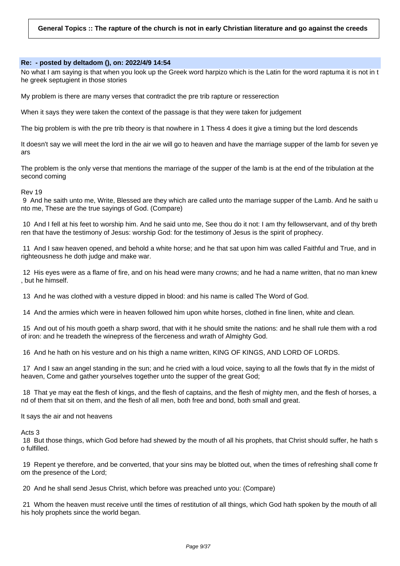#### **Re: - posted by deltadom (), on: 2022/4/9 14:54**

No what I am saying is that when you look up the Greek word harpizo which is the Latin for the word raptuma it is not in t he greek septugient in those stories

My problem is there are many verses that contradict the pre trib rapture or resserection

When it says they were taken the context of the passage is that they were taken for judgement

The big problem is with the pre trib theory is that nowhere in 1 Thess 4 does it give a timing but the lord descends

It doesn't say we will meet the lord in the air we will go to heaven and have the marriage supper of the lamb for seven ye ars

The problem is the only verse that mentions the marriage of the supper of the lamb is at the end of the tribulation at the second coming

#### Rev 19

9 And he saith unto me, Write, Blessed are they which are called unto the marriage supper of the Lamb. And he saith u nto me, These are the true sayings of God. (Compare)

10 And I fell at his feet to worship him. And he said unto me, See thou do it not: I am thy fellowservant, and of thy breth ren that have the testimony of Jesus: worship God: for the testimony of Jesus is the spirit of prophecy.

11 And I saw heaven opened, and behold a white horse; and he that sat upon him was called Faithful and True, and in righteousness he doth judge and make war.

12 His eyes were as a flame of fire, and on his head were many crowns; and he had a name written, that no man knew , but he himself.

13 And he was clothed with a vesture dipped in blood: and his name is called The Word of God.

14 And the armies which were in heaven followed him upon white horses, clothed in fine linen, white and clean.

15 And out of his mouth goeth a sharp sword, that with it he should smite the nations: and he shall rule them with a rod of iron: and he treadeth the winepress of the fierceness and wrath of Almighty God.

16 And he hath on his vesture and on his thigh a name written, KING OF KINGS, AND LORD OF LORDS.

17 And I saw an angel standing in the sun; and he cried with a loud voice, saying to all the fowls that fly in the midst of heaven, Come and gather yourselves together unto the supper of the great God;

18 That ye may eat the flesh of kings, and the flesh of captains, and the flesh of mighty men, and the flesh of horses, a nd of them that sit on them, and the flesh of all men, both free and bond, both small and great.

It says the air and not heavens

Acts 3

18 But those things, which God before had shewed by the mouth of all his prophets, that Christ should suffer, he hath s o fulfilled.

19 Repent ye therefore, and be converted, that your sins may be blotted out, when the times of refreshing shall come fr om the presence of the Lord;

20 And he shall send Jesus Christ, which before was preached unto you: (Compare)

21 Whom the heaven must receive until the times of restitution of all things, which God hath spoken by the mouth of all his holy prophets since the world began.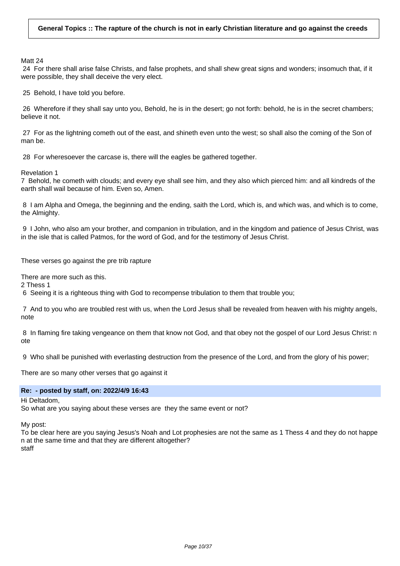Matt 24

24 For there shall arise false Christs, and false prophets, and shall shew great signs and wonders; insomuch that, if it were possible, they shall deceive the very elect.

25 Behold, I have told you before.

26 Wherefore if they shall say unto you, Behold, he is in the desert; go not forth: behold, he is in the secret chambers; believe it not.

27 For as the lightning cometh out of the east, and shineth even unto the west; so shall also the coming of the Son of man be.

28 For wheresoever the carcase is, there will the eagles be gathered together.

Revelation 1

7 Behold, he cometh with clouds; and every eye shall see him, and they also which pierced him: and all kindreds of the earth shall wail because of him. Even so, Amen.

8 I am Alpha and Omega, the beginning and the ending, saith the Lord, which is, and which was, and which is to come, the Almighty.

9 I John, who also am your brother, and companion in tribulation, and in the kingdom and patience of Jesus Christ, was in the isle that is called Patmos, for the word of God, and for the testimony of Jesus Christ.

These verses go against the pre trib rapture

There are more such as this.

2 Thess 1

6 Seeing it is a righteous thing with God to recompense tribulation to them that trouble you;

7 And to you who are troubled rest with us, when the Lord Jesus shall be revealed from heaven with his mighty angels, note

8 In flaming fire taking vengeance on them that know not God, and that obey not the gospel of our Lord Jesus Christ: n ote

9 Who shall be punished with everlasting destruction from the presence of the Lord, and from the glory of his power;

There are so many other verses that go against it

### **Re: - posted by staff, on: 2022/4/9 16:43**

Hi Deltadom,

So what are you saying about these verses are they the same event or not?

My post:

To be clear here are you saying Jesus's Noah and Lot prophesies are not the same as 1 Thess 4 and they do not happe n at the same time and that they are different altogether? staff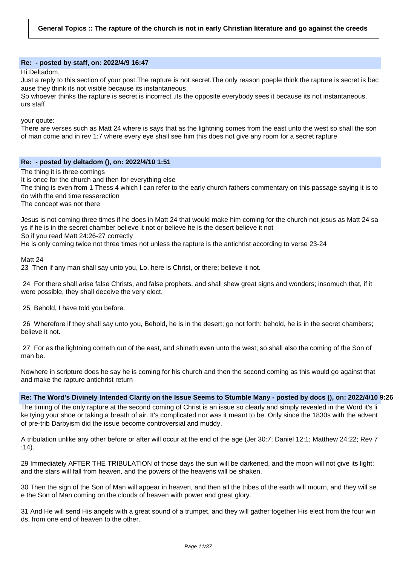#### **Re: - posted by staff, on: 2022/4/9 16:47**

Hi Deltadom,

Just a reply to this section of your post.The rapture is not secret.The only reason poeple think the rapture is secret is bec ause they think its not visible because its instantaneous.

So whoever thinks the rapture is secret is incorrect ,its the opposite everybody sees it because its not instantaneous, urs staff

your qoute:

There are verses such as Matt 24 where is says that as the lightning comes from the east unto the west so shall the son of man come and in rev 1:7 where every eye shall see him this does not give any room for a secret rapture

#### **Re: - posted by deltadom (), on: 2022/4/10 1:51**

The thing it is three comings

It is once for the church and then for everything else

The thing is even from 1 Thess 4 which I can refer to the early church fathers commentary on this passage saying it is to do with the end time resserection

The concept was not there

Jesus is not coming three times if he does in Matt 24 that would make him coming for the church not jesus as Matt 24 sa ys if he is in the secret chamber believe it not or believe he is the desert believe it not So if you read Matt 24:26-27 correctly

He is only coming twice not three times not unless the rapture is the antichrist according to verse 23-24

Matt 24

23 Then if any man shall say unto you, Lo, here is Christ, or there; believe it not.

24 For there shall arise false Christs, and false prophets, and shall shew great signs and wonders; insomuch that, if it were possible, they shall deceive the very elect.

25 Behold, I have told you before.

26 Wherefore if they shall say unto you, Behold, he is in the desert; go not forth: behold, he is in the secret chambers; believe it not.

27 For as the lightning cometh out of the east, and shineth even unto the west; so shall also the coming of the Son of man be.

Nowhere in scripture does he say he is coming for his church and then the second coming as this would go against that and make the rapture antichrist return

**Re: The Word's Divinely Intended Clarity on the Issue Seems to Stumble Many - posted by docs (), on: 2022/4/10 9:26**

The timing of the only rapture at the second coming of Christ is an issue so clearly and simply revealed in the Word it's li ke tying your shoe or taking a breath of air. It's complicated nor was it meant to be. Only since the 1830s with the advent of pre-trib Darbyism did the issue become controversial and muddy.

A tribulation unlike any other before or after will occur at the end of the age (Jer 30:7; Daniel 12:1; Matthew 24:22; Rev 7 :14).

29 Immediately AFTER THE TRIBULATION of those days the sun will be darkened, and the moon will not give its light; and the stars will fall from heaven, and the powers of the heavens will be shaken.

30 Then the sign of the Son of Man will appear in heaven, and then all the tribes of the earth will mourn, and they will se e the Son of Man coming on the clouds of heaven with power and great glory.

31 And He will send His angels with a great sound of a trumpet, and they will gather together His elect from the four win ds, from one end of heaven to the other.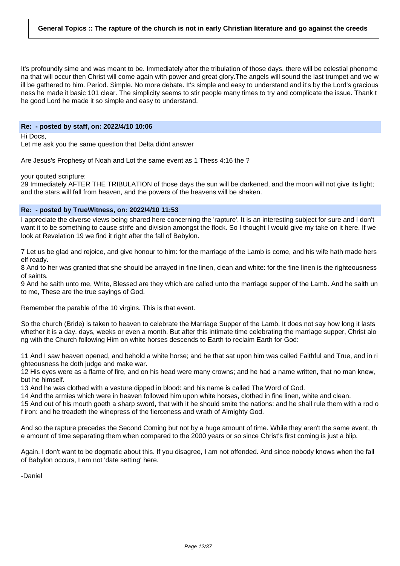It's profoundly sime and was meant to be. Immediately after the tribulation of those days, there will be celestial phenome na that will occur then Christ will come again with power and great glory.The angels will sound the last trumpet and we w ill be gathered to him. Period. Simple. No more debate. It's simple and easy to understand and it's by the Lord's gracious ness he made it basic 101 clear. The simplicity seems to stir people many times to try and complicate the issue. Thank t he good Lord he made it so simple and easy to understand.

#### **Re: - posted by staff, on: 2022/4/10 10:06**

Hi Docs,

Let me ask you the same question that Delta didnt answer

Are Jesus's Prophesy of Noah and Lot the same event as 1 Thess 4:16 the ?

your qouted scripture:

29 Immediately AFTER THE TRIBULATION of those days the sun will be darkened, and the moon will not give its light; and the stars will fall from heaven, and the powers of the heavens will be shaken.

# **Re: - posted by TrueWitness, on: 2022/4/10 11:53**

I appreciate the diverse views being shared here concerning the 'rapture'. It is an interesting subject for sure and I don't want it to be something to cause strife and division amongst the flock. So I thought I would give my take on it here. If we look at Revelation 19 we find it right after the fall of Babylon.

7 Let us be glad and rejoice, and give honour to him: for the marriage of the Lamb is come, and his wife hath made hers elf ready.

8 And to her was granted that she should be arrayed in fine linen, clean and white: for the fine linen is the righteousness of saints.

9 And he saith unto me, Write, Blessed are they which are called unto the marriage supper of the Lamb. And he saith un to me, These are the true sayings of God.

Remember the parable of the 10 virgins. This is that event.

So the church (Bride) is taken to heaven to celebrate the Marriage Supper of the Lamb. It does not say how long it lasts whether it is a day, days, weeks or even a month. But after this intimate time celebrating the marriage supper, Christ alo ng with the Church following Him on white horses descends to Earth to reclaim Earth for God:

11 And I saw heaven opened, and behold a white horse; and he that sat upon him was called Faithful and True, and in ri ghteousness he doth judge and make war.

12 His eyes were as a flame of fire, and on his head were many crowns; and he had a name written, that no man knew, but he himself.

13 And he was clothed with a vesture dipped in blood: and his name is called The Word of God.

14 And the armies which were in heaven followed him upon white horses, clothed in fine linen, white and clean.

15 And out of his mouth goeth a sharp sword, that with it he should smite the nations: and he shall rule them with a rod o f iron: and he treadeth the winepress of the fierceness and wrath of Almighty God.

And so the rapture precedes the Second Coming but not by a huge amount of time. While they aren't the same event, th e amount of time separating them when compared to the 2000 years or so since Christ's first coming is just a blip.

Again, I don't want to be dogmatic about this. If you disagree, I am not offended. And since nobody knows when the fall of Babylon occurs, I am not 'date setting' here.

-Daniel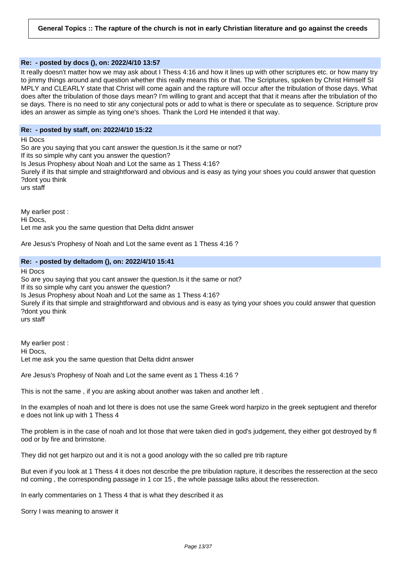# **Re: - posted by docs (), on: 2022/4/10 13:57**

It really doesn't matter how we may ask about I Thess 4:16 and how it lines up with other scriptures etc. or how many try to jimmy things around and question whether this really means this or that. The Scriptures, spoken by Christ Himself SI MPLY and CLEARLY state that Christ will come again and the rapture will occur after the tribulation of those days. What does after the tribulation of those days mean? I'm willing to grant and accept that that it means after the tribulation of tho se days. There is no need to stir any conjectural pots or add to what is there or speculate as to sequence. Scripture prov ides an answer as simple as tying one's shoes. Thank the Lord He intended it that way.

#### **Re: - posted by staff, on: 2022/4/10 15:22**

Hi Docs

So are you saying that you cant answer the question.Is it the same or not? If its so simple why cant you answer the question? Is Jesus Prophesy about Noah and Lot the same as 1 Thess 4:16? Surely if its that simple and straightforward and obvious and is easy as tying your shoes you could answer that question ?dont you think urs staff

My earlier post : Hi Docs, Let me ask you the same question that Delta didnt answer

Are Jesus's Prophesy of Noah and Lot the same event as 1 Thess 4:16 ?

### **Re: - posted by deltadom (), on: 2022/4/10 15:41**

Hi Docs

So are you saying that you cant answer the question.Is it the same or not? If its so simple why cant you answer the question? Is Jesus Prophesy about Noah and Lot the same as 1 Thess 4:16? Surely if its that simple and straightforward and obvious and is easy as tying your shoes you could answer that question ?dont you think urs staff

My earlier post : Hi Docs, Let me ask you the same question that Delta didnt answer

Are Jesus's Prophesy of Noah and Lot the same event as 1 Thess 4:16 ?

This is not the same , if you are asking about another was taken and another left .

In the examples of noah and lot there is does not use the same Greek word harpizo in the greek septugient and therefor e does not link up with 1 Thess 4

The problem is in the case of noah and lot those that were taken died in god's judgement, they either got destroyed by fl ood or by fire and brimstone.

They did not get harpizo out and it is not a good anology with the so called pre trib rapture

But even if you look at 1 Thess 4 it does not describe the pre tribulation rapture, it describes the resserection at the seco nd coming , the corresponding passage in 1 cor 15 , the whole passage talks about the resserection.

In early commentaries on 1 Thess 4 that is what they described it as

Sorry I was meaning to answer it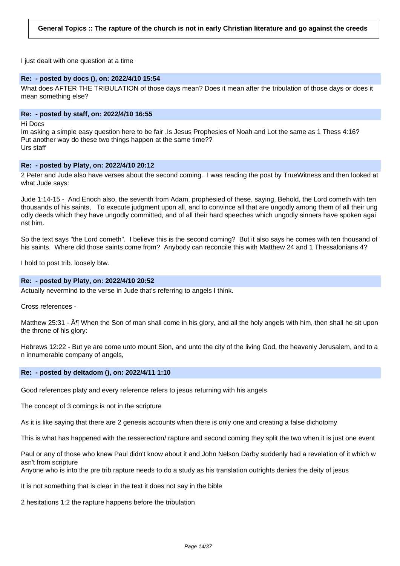I just dealt with one question at a time

#### **Re: - posted by docs (), on: 2022/4/10 15:54**

What does AFTER THE TRIBULATION of those days mean? Does it mean after the tribulation of those days or does it mean something else?

### **Re: - posted by staff, on: 2022/4/10 16:55**

Hi Docs

Im asking a simple easy question here to be fair ,Is Jesus Prophesies of Noah and Lot the same as 1 Thess 4:16? Put another way do these two things happen at the same time?? Urs staff

#### **Re: - posted by Platy, on: 2022/4/10 20:12**

2 Peter and Jude also have verses about the second coming. I was reading the post by TrueWitness and then looked at what Jude says:

Jude 1:14-15 - And Enoch also, the seventh from Adam, prophesied of these, saying, Behold, the Lord cometh with ten thousands of his saints, To execute judgment upon all, and to convince all that are ungodly among them of all their ung odly deeds which they have ungodly committed, and of all their hard speeches which ungodly sinners have spoken agai nst him.

So the text says "the Lord cometh". I believe this is the second coming? But it also says he comes with ten thousand of his saints. Where did those saints come from? Anybody can reconcile this with Matthew 24 and 1 Thessalonians 4?

I hold to post trib. loosely btw.

#### **Re: - posted by Platy, on: 2022/4/10 20:52**

Actually nevermind to the verse in Jude that's referring to angels I think.

Cross references -

Matthew 25:31 - ¶ When the Son of man shall come in his glory, and all the holy angels with him, then shall he sit upon the throne of his glory:

Hebrews 12:22 - But ye are come unto mount Sion, and unto the city of the living God, the heavenly Jerusalem, and to a n innumerable company of angels,

#### **Re: - posted by deltadom (), on: 2022/4/11 1:10**

Good references platy and every reference refers to jesus returning with his angels

The concept of 3 comings is not in the scripture

As it is like saying that there are 2 genesis accounts when there is only one and creating a false dichotomy

This is what has happened with the resserection/ rapture and second coming they split the two when it is just one event

Paul or any of those who knew Paul didn't know about it and John Nelson Darby suddenly had a revelation of it which w asn't from scripture

Anyone who is into the pre trib rapture needs to do a study as his translation outrights denies the deity of jesus

It is not something that is clear in the text it does not say in the bible

2 hesitations 1:2 the rapture happens before the tribulation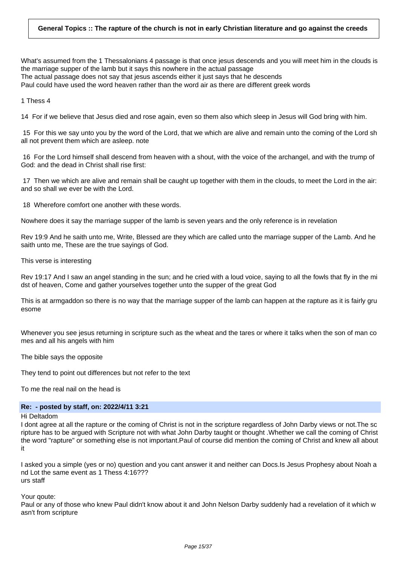What's assumed from the 1 Thessalonians 4 passage is that once jesus descends and you will meet him in the clouds is the marriage supper of the lamb but it says this nowhere in the actual passage The actual passage does not say that jesus ascends either it just says that he descends Paul could have used the word heaven rather than the word air as there are different greek words

1 Thess 4

14 For if we believe that Jesus died and rose again, even so them also which sleep in Jesus will God bring with him.

15 For this we say unto you by the word of the Lord, that we which are alive and remain unto the coming of the Lord sh all not prevent them which are asleep. note

16 For the Lord himself shall descend from heaven with a shout, with the voice of the archangel, and with the trump of God: and the dead in Christ shall rise first:

17 Then we which are alive and remain shall be caught up together with them in the clouds, to meet the Lord in the air: and so shall we ever be with the Lord.

18 Wherefore comfort one another with these words.

Nowhere does it say the marriage supper of the lamb is seven years and the only reference is in revelation

Rev 19:9 And he saith unto me, Write, Blessed are they which are called unto the marriage supper of the Lamb. And he saith unto me, These are the true sayings of God.

This verse is interesting

Rev 19:17 And I saw an angel standing in the sun; and he cried with a loud voice, saying to all the fowls that fly in the mi dst of heaven, Come and gather yourselves together unto the supper of the great God

This is at armgaddon so there is no way that the marriage supper of the lamb can happen at the rapture as it is fairly gru esome

Whenever you see jesus returning in scripture such as the wheat and the tares or where it talks when the son of man co mes and all his angels with him

The bible says the opposite

They tend to point out differences but not refer to the text

To me the real nail on the head is

# **Re: - posted by staff, on: 2022/4/11 3:21**

Hi Deltadom

I dont agree at all the rapture or the coming of Christ is not in the scripture regardless of John Darby views or not.The sc ripture has to be argued with Scripture not with what John Darby taught or thought .Whether we call the coming of Christ the word "rapture" or something else is not important.Paul of course did mention the coming of Christ and knew all about it

I asked you a simple (yes or no) question and you cant answer it and neither can Docs.Is Jesus Prophesy about Noah a nd Lot the same event as 1 Thess 4:16??? urs staff

Your qoute:

Paul or any of those who knew Paul didn't know about it and John Nelson Darby suddenly had a revelation of it which w asn't from scripture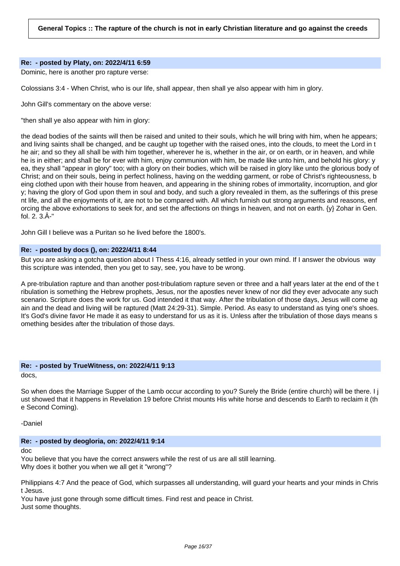### **Re: - posted by Platy, on: 2022/4/11 6:59**

Dominic, here is another pro rapture verse:

Colossians 3:4 - When Christ, who is our life, shall appear, then shall ye also appear with him in glory.

John Gill's commentary on the above verse:

"then shall ye also appear with him in glory:

the dead bodies of the saints will then be raised and united to their souls, which he will bring with him, when he appears; and living saints shall be changed, and be caught up together with the raised ones, into the clouds, to meet the Lord in t he air; and so they all shall be with him together, wherever he is, whether in the air, or on earth, or in heaven, and while he is in either; and shall be for ever with him, enjoy communion with him, be made like unto him, and behold his glory: y ea, they shall "appear in glory" too; with a glory on their bodies, which will be raised in glory like unto the glorious body of Christ; and on their souls, being in perfect holiness, having on the wedding garment, or robe of Christ's righteousness, b eing clothed upon with their house from heaven, and appearing in the shining robes of immortality, incorruption, and glor y; having the glory of God upon them in soul and body, and such a glory revealed in them, as the sufferings of this prese nt life, and all the enjoyments of it, are not to be compared with. All which furnish out strong arguments and reasons, enf orcing the above exhortations to seek for, and set the affections on things in heaven, and not on earth. {y} Zohar in Gen. fol. 2. 3.Â-"

John Gill I believe was a Puritan so he lived before the 1800's.

# **Re: - posted by docs (), on: 2022/4/11 8:44**

But you are asking a gotcha question about I Thess 4:16, already settled in your own mind. If I answer the obvious way this scripture was intended, then you get to say, see, you have to be wrong.

A pre-tribulation rapture and than another post-tribulatiom rapture seven or three and a half years later at the end of the t ribulation is something the Hebrew prophets, Jesus, nor the apostles never knew of nor did they ever advocate any such scenario. Scripture does the work for us. God intended it that way. After the tribulation of those days, Jesus will come ag ain and the dead and living will be raptured (Matt 24:29-31). Simple. Period. As easy to understand as tying one's shoes. It's God's divine favor He made it as easy to understand for us as it is. Unless after the tribulation of those days means s omething besides after the tribulation of those days.

# **Re: - posted by TrueWitness, on: 2022/4/11 9:13**

docs,

So when does the Marriage Supper of the Lamb occur according to you? Surely the Bride (entire church) will be there. I j ust showed that it happens in Revelation 19 before Christ mounts His white horse and descends to Earth to reclaim it (th e Second Coming).

-Daniel

# **Re: - posted by deogloria, on: 2022/4/11 9:14**

doc

You believe that you have the correct answers while the rest of us are all still learning. Why does it bother you when we all get it "wrong"?

Philippians 4:7 And the peace of God, which surpasses all understanding, will guard your hearts and your minds in Chris t Jesus.

You have just gone through some difficult times. Find rest and peace in Christ. Just some thoughts.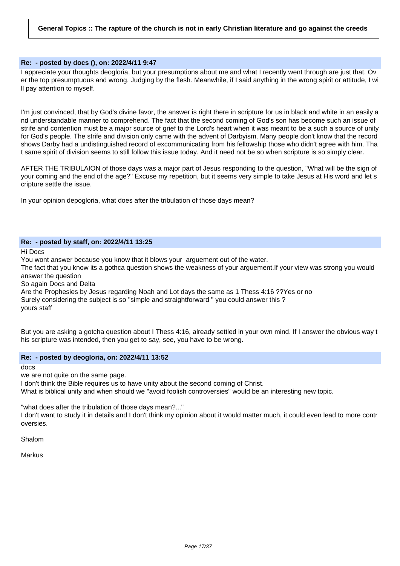# **Re: - posted by docs (), on: 2022/4/11 9:47**

I appreciate your thoughts deogloria, but your presumptions about me and what I recently went through are just that. Ov er the top presumptuous and wrong. Judging by the flesh. Meanwhile, if I said anything in the wrong spirit or attitude, I wi ll pay attention to myself.

I'm just convinced, that by God's divine favor, the answer is right there in scripture for us in black and white in an easily a nd understandable manner to comprehend. The fact that the second coming of God's son has become such an issue of strife and contention must be a major source of grief to the Lord's heart when it was meant to be a such a source of unity for God's people. The strife and division only came with the advent of Darbyism. Many people don't know that the record shows Darby had a undistinguished record of excommunicating from his fellowship those who didn't agree with him. Tha t same spirit of division seems to still follow this issue today. And it need not be so when scripture is so simply clear.

AFTER THE TRIBULAION of those days was a major part of Jesus responding to the question, "What will be the sign of your coming and the end of the age?" Excuse my repetition, but it seems very simple to take Jesus at His word and let s cripture settle the issue.

In your opinion depogloria, what does after the tribulation of those days mean?

#### **Re: - posted by staff, on: 2022/4/11 13:25**

Hi Docs

You wont answer because you know that it blows your arguement out of the water.

The fact that you know its a gothca question shows the weakness of your arguement.If your view was strong you would answer the question

So again Docs and Delta

Are the Prophesies by Jesus regarding Noah and Lot days the same as 1 Thess 4:16 ??Yes or no Surely considering the subject is so "simple and straightforward " you could answer this ? yours staff

But you are asking a gotcha question about I Thess 4:16, already settled in your own mind. If I answer the obvious way t his scripture was intended, then you get to say, see, you have to be wrong.

### **Re: - posted by deogloria, on: 2022/4/11 13:52**

docs

we are not quite on the same page.

I don't think the Bible requires us to have unity about the second coming of Christ.

What is biblical unity and when should we "avoid foolish controversies" would be an interesting new topic.

"what does after the tribulation of those days mean?..."

I don't want to study it in details and I don't think my opinion about it would matter much, it could even lead to more contr oversies.

Shalom

Markus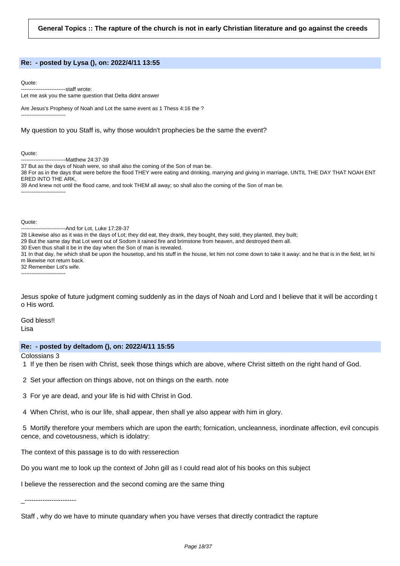#### **Re: - posted by Lysa (), on: 2022/4/11 13:55**

#### Quote:

-------------------------staff wrote:

-------------------------

Let me ask you the same question that Delta didnt answer

Are Jesus's Prophesy of Noah and Lot the same event as 1 Thess 4:16 the ?

#### My question to you Staff is, why those wouldn't prophecies be the same the event?

Quote:

-------------------------Matthew 24:37-39

37 But as the days of Noah were, so shall also the coming of the Son of man be.

38 For as in the days that were before the flood THEY were eating and drinking, marrying and giving in marriage, UNTIL THE DAY THAT NOAH ENT ERED INTO THE ARK,

39 And knew not until the flood came, and took THEM all away; so shall also the coming of the Son of man be. -------------------------

Quote:

-------------------------And for Lot, Luke 17:28-37

28 Likewise also as it was in the days of Lot; they did eat, they drank, they bought, they sold, they planted, they built;

29 But the same day that Lot went out of Sodom it rained fire and brimstone from heaven, and destroyed them all.

30 Even thus shall it be in the day when the Son of man is revealed.

31 In that day, he which shall be upon the housetop, and his stuff in the house, let him not come down to take it away: and he that is in the field, let hi m likewise not return back.

32 Remember Lot's wife.

-------------------------

Jesus spoke of future judgment coming suddenly as in the days of Noah and Lord and I believe that it will be according t o His word.

God bless!! Lisa

### **Re: - posted by deltadom (), on: 2022/4/11 15:55**

Colossians 3

- 1 If ye then be risen with Christ, seek those things which are above, where Christ sitteth on the right hand of God.
- 2 Set your affection on things above, not on things on the earth. note
- 3 For ye are dead, and your life is hid with Christ in God.

4 When Christ, who is our life, shall appear, then shall ye also appear with him in glory.

5 Mortify therefore your members which are upon the earth; fornication, uncleanness, inordinate affection, evil concupis cence, and covetousness, which is idolatry:

The context of this passage is to do with resserection

Do you want me to look up the context of John gill as I could read alot of his books on this subject

I believe the resserection and the second coming are the same thing

\_-----------------------

Staff , why do we have to minute quandary when you have verses that directly contradict the rapture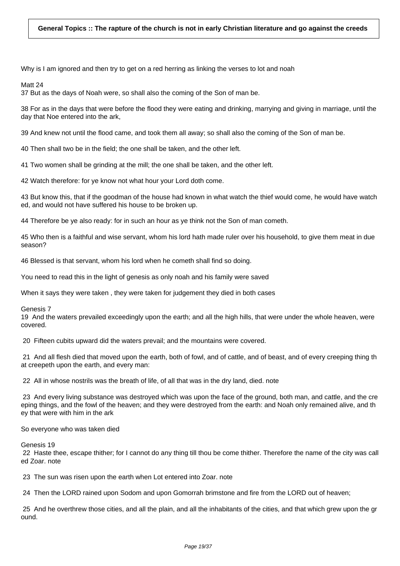Why is I am ignored and then try to get on a red herring as linking the verses to lot and noah

Matt 24

37 But as the days of Noah were, so shall also the coming of the Son of man be.

38 For as in the days that were before the flood they were eating and drinking, marrying and giving in marriage, until the day that Noe entered into the ark,

39 And knew not until the flood came, and took them all away; so shall also the coming of the Son of man be.

40 Then shall two be in the field; the one shall be taken, and the other left.

41 Two women shall be grinding at the mill; the one shall be taken, and the other left.

42 Watch therefore: for ye know not what hour your Lord doth come.

43 But know this, that if the goodman of the house had known in what watch the thief would come, he would have watch ed, and would not have suffered his house to be broken up.

44 Therefore be ye also ready: for in such an hour as ye think not the Son of man cometh.

45 Who then is a faithful and wise servant, whom his lord hath made ruler over his household, to give them meat in due season?

46 Blessed is that servant, whom his lord when he cometh shall find so doing.

You need to read this in the light of genesis as only noah and his family were saved

When it says they were taken , they were taken for judgement they died in both cases

Genesis 7

19 And the waters prevailed exceedingly upon the earth; and all the high hills, that were under the whole heaven, were covered.

20 Fifteen cubits upward did the waters prevail; and the mountains were covered.

21 And all flesh died that moved upon the earth, both of fowl, and of cattle, and of beast, and of every creeping thing th at creepeth upon the earth, and every man:

22 All in whose nostrils was the breath of life, of all that was in the dry land, died. note

23 And every living substance was destroyed which was upon the face of the ground, both man, and cattle, and the cre eping things, and the fowl of the heaven; and they were destroyed from the earth: and Noah only remained alive, and th ey that were with him in the ark

So everyone who was taken died

Genesis 19

22 Haste thee, escape thither; for I cannot do any thing till thou be come thither. Therefore the name of the city was call ed Zoar. note

23 The sun was risen upon the earth when Lot entered into Zoar. note

24 Then the LORD rained upon Sodom and upon Gomorrah brimstone and fire from the LORD out of heaven;

25 And he overthrew those cities, and all the plain, and all the inhabitants of the cities, and that which grew upon the gr ound.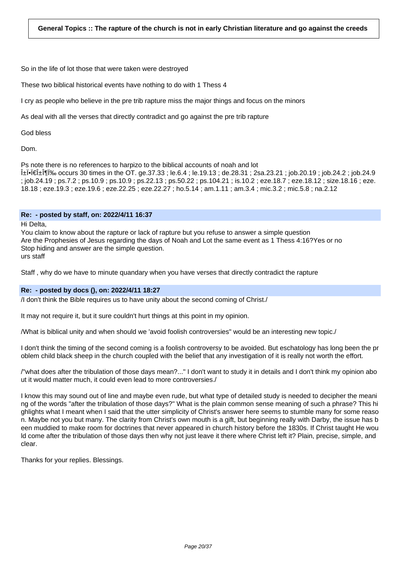So in the life of lot those that were taken were destroyed

These two biblical historical events have nothing to do with 1 Thess 4

I cry as people who believe in the pre trib rapture miss the major things and focus on the minors

As deal with all the verses that directly contradict and go against the pre trib rapture

God bless

Dom.

Ps note there is no references to harpizo to the biblical accounts of noah and lot

αϕπαζω occurs 30 times in the OT. ge.37.33 ; le.6.4 ; le.19.13 ; de.28.31 ; 2sa.23.21 ; job.20.19 ; job.24.2 ; job.24.9 ; job.24.19 ; ps.7.2 ; ps.10.9 ; ps.10.9 ; ps.22.13 ; ps.50.22 ; ps.104.21 ; is.10.2 ; eze.18.7 ; eze.18.12 ; size.18.16 ; eze. 18.18 ; eze.19.3 ; eze.19.6 ; eze.22.25 ; eze.22.27 ; ho.5.14 ; am.1.11 ; am.3.4 ; mic.3.2 ; mic.5.8 ; na.2.12

### **Re: - posted by staff, on: 2022/4/11 16:37**

Hi Delta,

You claim to know about the rapture or lack of rapture but you refuse to answer a simple question Are the Prophesies of Jesus regarding the days of Noah and Lot the same event as 1 Thess 4:16?Yes or no Stop hiding and answer are the simple question. urs staff

Staff , why do we have to minute quandary when you have verses that directly contradict the rapture

### **Re: - posted by docs (), on: 2022/4/11 18:27**

/I don't think the Bible requires us to have unity about the second coming of Christ./

It may not require it, but it sure couldn't hurt things at this point in my opinion.

/What is biblical unity and when should we 'avoid foolish controversies" would be an interesting new topic./

I don't think the timing of the second coming is a foolish controversy to be avoided. But eschatology has long been the pr oblem child black sheep in the church coupled with the belief that any investigation of it is really not worth the effort.

/"what does after the tribulation of those days mean?..." I don't want to study it in details and I don't think my opinion abo ut it would matter much, it could even lead to more controversies./

I know this may sound out of line and maybe even rude, but what type of detailed study is needed to decipher the meani ng of the words "after the tribulation of those days?" What is the plain common sense meaning of such a phrase? This hi ghlights what I meant when I said that the utter simplicity of Christ's answer here seems to stumble many for some reaso n. Maybe not you but many. The clarity from Christ's own mouth is a gift, but beginning really with Darby, the issue has b een muddied to make room for doctrines that never appeared in church history before the 1830s. If Christ taught He wou ld come after the tribulation of those days then why not just leave it there where Christ left it? Plain, precise, simple, and clear.

Thanks for your replies. Blessings.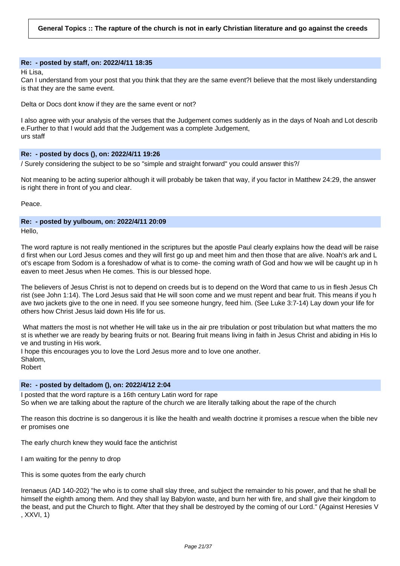#### **Re: - posted by staff, on: 2022/4/11 18:35**

Hi Lisa,

Can I understand from your post that you think that they are the same event?I believe that the most likely understanding is that they are the same event.

Delta or Docs dont know if they are the same event or not?

I also agree with your analysis of the verses that the Judgement comes suddenly as in the days of Noah and Lot describ e.Further to that I would add that the Judgement was a complete Judgement, urs staff

### **Re: - posted by docs (), on: 2022/4/11 19:26**

/ Surely considering the subject to be so "simple and straight forward" you could answer this?/

Not meaning to be acting superior although it will probably be taken that way, if you factor in Matthew 24:29, the answer is right there in front of you and clear.

Peace.

# **Re: - posted by yulboum, on: 2022/4/11 20:09**

Hello.

The word rapture is not really mentioned in the scriptures but the apostle Paul clearly explains how the dead will be raise d first when our Lord Jesus comes and they will first go up and meet him and then those that are alive. Noah's ark and L ot's escape from Sodom is a foreshadow of what is to come- the coming wrath of God and how we will be caught up in h eaven to meet Jesus when He comes. This is our blessed hope.

The believers of Jesus Christ is not to depend on creeds but is to depend on the Word that came to us in flesh Jesus Ch rist (see John 1:14). The Lord Jesus said that He will soon come and we must repent and bear fruit. This means if you h ave two jackets give to the one in need. If you see someone hungry, feed him. (See Luke 3:7-14) Lay down your life for others how Christ Jesus laid down His life for us.

What matters the most is not whether He will take us in the air pre tribulation or post tribulation but what matters the mo st is whether we are ready by bearing fruits or not. Bearing fruit means living in faith in Jesus Christ and abiding in His lo ve and trusting in His work.

I hope this encourages you to love the Lord Jesus more and to love one another.

Shalom,

Robert

### **Re: - posted by deltadom (), on: 2022/4/12 2:04**

I posted that the word rapture is a 16th century Latin word for rape So when we are talking about the rapture of the church we are literally talking about the rape of the church

The reason this doctrine is so dangerous it is like the health and wealth doctrine it promises a rescue when the bible nev er promises one

The early church knew they would face the antichrist

I am waiting for the penny to drop

This is some quotes from the early church

Irenaeus (AD 140-202) "he who is to come shall slay three, and subject the remainder to his power, and that he shall be himself the eighth among them. And they shall lay Babylon waste, and burn her with fire, and shall give their kingdom to the beast, and put the Church to flight. After that they shall be destroyed by the coming of our Lord." (Against Heresies V , XXVI, 1)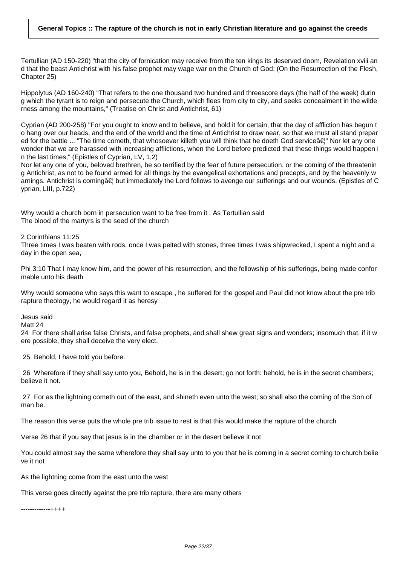Tertullian (AD 150-220) "that the city of fornication may receive from the ten kings its deserved doom, Revelation xviii an d that the beast Antichrist with his false prophet may wage war on the Church of God; (On the Resurrection of the Flesh, Chapter 25)

Hippolytus (AD 160-240) "That refers to the one thousand two hundred and threescore days (the half of the week) durin g which the tyrant is to reign and persecute the Church, which flees from city to city, and seeks concealment in the wilde rness among the mountains," (Treatise on Christ and Antichrist, 61)

Cyprian (AD 200-258) "For you ought to know and to believe, and hold it for certain, that the day of affliction has begun t o hang over our heads, and the end of the world and the time of Antichrist to draw near, so that we must all stand prepar ed for the battle ... "The time cometh, that whosoever killeth you will think that he doeth God servicea in Nor let any one wonder that we are harassed with increasing afflictions, when the Lord before predicted that these things would happen i n the last times," (Epistles of Cyprian, LV, 1,2)

Nor let any one of you, beloved brethren, be so terrified by the fear of future persecution, or the coming of the threatenin g Antichrist, as not to be found armed for all things by the evangelical exhortations and precepts, and by the heavenly w arnings. Antichrist is coming†but immediately the Lord follows to avenge our sufferings and our wounds. (Epistles of C yprian, LIII, p.722)

Why would a church born in persecution want to be free from it . As Tertullian said The blood of the martyrs is the seed of the church

2 Corinthians 11:25

Three times I was beaten with rods, once I was pelted with stones, three times I was shipwrecked, I spent a night and a day in the open sea,

Phi 3:10 That I may know him, and the power of his resurrection, and the fellowship of his sufferings, being made confor mable unto his death

Why would someone who says this want to escape , he suffered for the gospel and Paul did not know about the pre trib rapture theology, he would regard it as heresy

Jesus said

Matt 24

24 For there shall arise false Christs, and false prophets, and shall shew great signs and wonders; insomuch that, if it w ere possible, they shall deceive the very elect.

25 Behold, I have told you before.

26 Wherefore if they shall say unto you, Behold, he is in the desert; go not forth: behold, he is in the secret chambers; believe it not.

27 For as the lightning cometh out of the east, and shineth even unto the west; so shall also the coming of the Son of man be.

The reason this verse puts the whole pre trib issue to rest is that this would make the rapture of the church

Verse 26 that if you say that jesus is in the chamber or in the desert believe it not

You could almost say the same wherefore they shall say unto to you that he is coming in a secret coming to church belie ve it not

As the lightning come from the east unto the west

This verse goes directly against the pre trib rapture, there are many others

-------------++++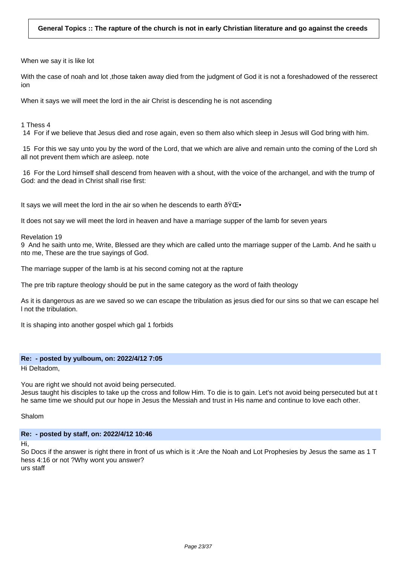When we say it is like lot

With the case of noah and lot , those taken away died from the judgment of God it is not a foreshadowed of the resserect ion

When it says we will meet the lord in the air Christ is descending he is not ascending

1 Thess 4

14 For if we believe that Jesus died and rose again, even so them also which sleep in Jesus will God bring with him.

15 For this we say unto you by the word of the Lord, that we which are alive and remain unto the coming of the Lord sh all not prevent them which are asleep. note

16 For the Lord himself shall descend from heaven with a shout, with the voice of the archangel, and with the trump of God: and the dead in Christ shall rise first:

It says we will meet the lord in the air so when he descends to earth  $\text{\o}YCE-$ 

It does not say we will meet the lord in heaven and have a marriage supper of the lamb for seven years

Revelation 19

9 And he saith unto me, Write, Blessed are they which are called unto the marriage supper of the Lamb. And he saith u nto me, These are the true sayings of God.

The marriage supper of the lamb is at his second coming not at the rapture

The pre trib rapture theology should be put in the same category as the word of faith theology

As it is dangerous as are we saved so we can escape the tribulation as jesus died for our sins so that we can escape hel l not the tribulation.

It is shaping into another gospel which gal 1 forbids

### **Re: - posted by yulboum, on: 2022/4/12 7:05**

Hi Deltadom,

You are right we should not avoid being persecuted.

Jesus taught his disciples to take up the cross and follow Him. To die is to gain. Let's not avoid being persecuted but at t he same time we should put our hope in Jesus the Messiah and trust in His name and continue to love each other.

Shalom

### **Re: - posted by staff, on: 2022/4/12 10:46**

Hi,

So Docs if the answer is right there in front of us which is it :Are the Noah and Lot Prophesies by Jesus the same as 1 T hess 4:16 or not ?Why wont you answer? urs staff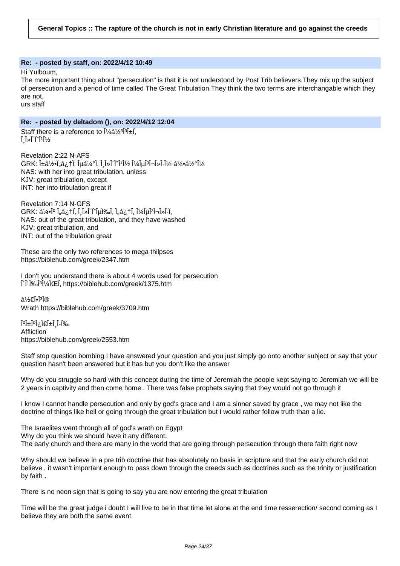### **Re: - posted by staff, on: 2022/4/12 10:49**

Hi Yulboum,

The more important thing about "persecution" is that it is not understood by Post Trib believers.They mix up the subject of persecution and a period of time called The Great Tribulation.They think the two terms are interchangable which they are not,

urs staff

# **Re: - posted by deltadom (), on: 2022/4/12 12:04**

Staff there is a reference to  $1/4a^{1/2}$ <sup>3</sup>  $\hat{I}$   $\hat{I}$ »  $\hat{I}$   $\hat{I}$ ' $\hat{I}$ ' $\hat{I}$ ' $\hat{I}$ 

Revelation 2:22 N-AFS  $G$ RK: الْفَعْدِينَ وَعَامَلِهِ ٱلْإِلَيْةِ ٱلْكَلْبَةِينَ وَالْكَلْسَانِي ٱلْجَمْعَة NAS: with her into great tribulation, unless KJV: great tribulation, except INT: her into tribulation great if

Revelation 7:14 N-GFS  $GRK: \land \sim 0^\circ$  Ï"á $\lambda$ †Ï, Î $\,$ λÎ $\,$ Ï`î $\mu$ Ï‱Ï, Ï"á $\lambda$ †Ï, Î $\lambda$ Î $\mu$ Î $^3$ Î $\lnot$ λÎ $\cdot$ Ï, NAS: out of the great tribulation, and they have washed KJV: great tribulation, and INT: out of the tribulation great

These are the only two references to mega thilpses https://biblehub.com/greek/2347.htm

I don't you understand there is about 4 words used for persecution διωγμός https://biblehub.com/greek/1375.htm

á½€Ï∙Ϊή Wrath https://biblehub.com/greek/3709.htm

‰آ-أُ أ±آ€ا ِ¿آ°آ±أ0ْ Affliction https://biblehub.com/greek/2553.htm

Staff stop question bombing I have answered your question and you just simply go onto another subject or say that your question hasn't been answered but it has but you don't like the answer

Why do you struggle so hard with this concept during the time of Jeremiah the people kept saying to Jeremiah we will be 2 years in captivity and then come home . There was false prophets saying that they would not go through it

I know I cannot handle persecution and only by god's grace and I am a sinner saved by grace , we may not like the doctrine of things like hell or going through the great tribulation but I would rather follow truth than a lie.

The Israelites went through all of god's wrath on Egypt Why do you think we should have it any different. The early church and there are many in the world that are going through persecution through there faith right now

Why should we believe in a pre trib doctrine that has absolutely no basis in scripture and that the early church did not believe , it wasn't important enough to pass down through the creeds such as doctrines such as the trinity or justification by faith .

There is no neon sign that is going to say you are now entering the great tribulation

Time will be the great judge i doubt I will live to be in that time let alone at the end time resserection/ second coming as I believe they are both the same event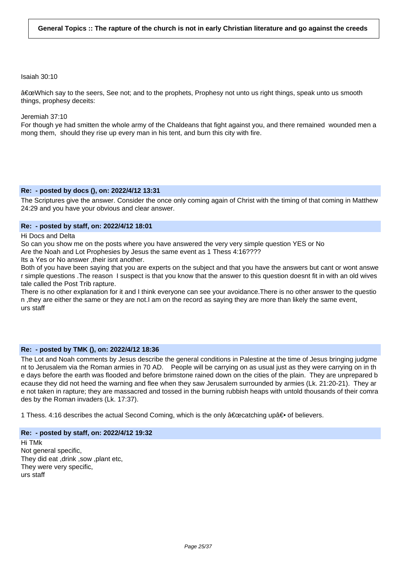#### Isaiah 30:10

"Which say to the seers, See not; and to the prophets, Prophesy not unto us right things, speak unto us smooth things, prophesy deceits:

#### Jeremiah 37:10

For though ye had smitten the whole army of the Chaldeans that fight against you, and there remained wounded men a mong them, should they rise up every man in his tent, and burn this city with fire.

#### **Re: - posted by docs (), on: 2022/4/12 13:31**

The Scriptures give the answer. Consider the once only coming again of Christ with the timing of that coming in Matthew 24:29 and you have your obvious and clear answer.

### **Re: - posted by staff, on: 2022/4/12 18:01**

Hi Docs and Delta

So can you show me on the posts where you have answered the very very simple question YES or No Are the Noah and Lot Prophesies by Jesus the same event as 1 Thess 4:16????

Its a Yes or No answer ,their isnt another.

Both of you have been saying that you are experts on the subject and that you have the answers but cant or wont answe r simple questions .The reason I suspect is that you know that the answer to this question doesnt fit in with an old wives tale called the Post Trib rapture.

There is no other explanation for it and I think everyone can see your avoidance.There is no other answer to the questio n ,they are either the same or they are not.I am on the record as saying they are more than likely the same event, urs staff

### **Re: - posted by TMK (), on: 2022/4/12 18:36**

The Lot and Noah comments by Jesus describe the general conditions in Palestine at the time of Jesus bringing judgme nt to Jerusalem via the Roman armies in 70 AD. People will be carrying on as usual just as they were carrying on in th e days before the earth was flooded and before brimstone rained down on the cities of the plain. They are unprepared b ecause they did not heed the warning and flee when they saw Jerusalem surrounded by armies (Lk. 21:20-21). They ar e not taken in rapture; they are massacred and tossed in the burning rubbish heaps with untold thousands of their comra des by the Roman invaders (Lk. 17:37).

1 Thess. 4:16 describes the actual Second Coming, which is the only "catching upâ⊕ of believers.

### **Re: - posted by staff, on: 2022/4/12 19:32**

Hi TMk Not general specific, They did eat ,drink ,sow ,plant etc, They were very specific, urs staff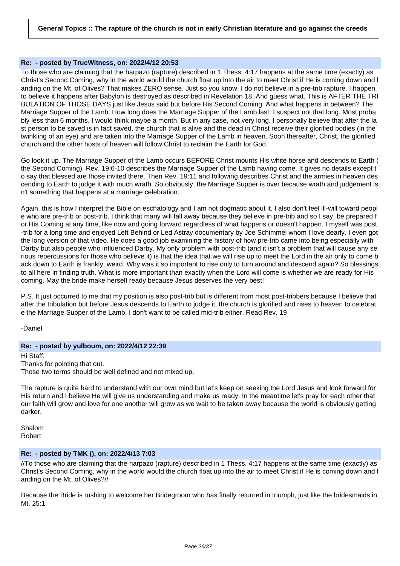### **Re: - posted by TrueWitness, on: 2022/4/12 20:53**

To those who are claiming that the harpazo (rapture) described in 1 Thess. 4:17 happens at the same time (exactly) as Christ's Second Coming, why in the world would the church float up into the air to meet Christ if He is coming down and l anding on the Mt. of Olives? That makes ZERO sense. Just so you know, I do not believe in a pre-trib rapture. I happen to believe it happens after Babylon is destroyed as described in Revelation 18. And guess what. This is AFTER THE TRI BULATION OF THOSE DAYS just like Jesus said but before His Second Coming. And what happens in between? The Marriage Supper of the Lamb. How long does the Marriage Supper of the Lamb last. I suspect not that long. Most proba bly less than 6 months. I would think maybe a month. But in any case, not very long. I personally believe that after the la st person to be saved is in fact saved, the church that is alive and the dead in Christ receive their glorified bodies (in the twinkling of an eye) and are taken into the Marriage Supper of the Lamb in heaven. Soon thereafter, Christ, the glorified church and the other hosts of heaven will follow Christ to reclaim the Earth for God.

Go look it up. The Marriage Supper of the Lamb occurs BEFORE Christ mounts His white horse and descends to Earth ( the Second Coming). Rev. 19:6-10 describes the Marriage Supper of the Lamb having come. It gives no details except t o say that blessed are those invited there. Then Rev. 19:11 and following describes Christ and the armies in heaven des cending to Earth to judge it with much wrath. So obviously, the Marriage Supper is over because wrath and judgement is n't something that happens at a marriage celebration.

Again, this is how I interpret the Bible on eschatology and I am not dogmatic about it. I also don't feel ill-will toward peopl e who are pre-trib or post-trib. I think that many will fall away because they believe in pre-trib and so I say, be prepared f or His Coming at any time, like now and going forward regardless of what happens or doesn't happen. I myself was post -trib for a long time and enjoyed Left Behind or Led Astray documentary by Joe Schimmel whom I love dearly. I even got the long version of that video. He does a good job examining the history of how pre-trib came into being especially with Darby but also people who influenced Darby. My only problem with post-trib (and it isn't a problem that will cause any se rious repercussions for those who believe it) is that the idea that we will rise up to meet the Lord in the air only to come b ack down to Earth is frankly, weird. Why was it so important to rise only to turn around and descend again? So blessings to all here in finding truth. What is more important than exactly when the Lord will come is whether we are ready for His coming. May the bride make herself ready because Jesus deserves the very best!

P.S. It just occurred to me that my position is also post-trib but is different from most post-tribbers because I believe that after the tribulation but before Jesus descends to Earth to judge it, the church is glorified and rises to heaven to celebrat e the Marriage Supper of the Lamb. I don't want to be called mid-trib either. Read Rev. 19

-Daniel

# **Re: - posted by yulboum, on: 2022/4/12 22:39**

Hi Staff, Thanks for pointing that out.

Those two terms should be well defined and not mixed up.

The rapture is quite hard to understand with our own mind but let's keep on seeking the Lord Jesus and look forward for His return and I believe He will give us understanding and make us ready. In the meantime let's pray for each other that our faith will grow and love for one another will grow as we wait to be taken away because the world is obviously getting darker.

Shalom Robert

### **Re: - posted by TMK (), on: 2022/4/13 7:03**

//To those who are claiming that the harpazo (rapture) described in 1 Thess. 4:17 happens at the same time (exactly) as Christ's Second Coming, why in the world would the church float up into the air to meet Christ if He is coming down and l anding on the Mt. of Olives?//

Because the Bride is rushing to welcome her Bridegroom who has finally returned in triumph, just like the bridesmaids in Mt. 25:1.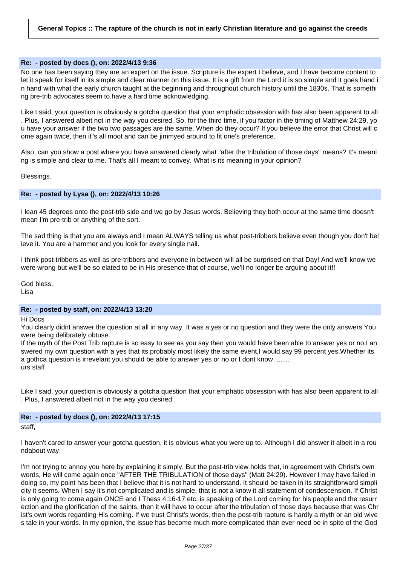### **Re: - posted by docs (), on: 2022/4/13 9:36**

No one has been saying they are an expert on the issue. Scripture is the expert I believe, and I have become content to let it speak for itself in its simple and clear manner on this issue. It is a gift from the Lord it is so simple and it goes hand i n hand with what the early church taught at the beginning and throughout church history until the 1830s. That is somethi ng pre-trib advocates seem to have a hard time acknowledging.

Like I said, your question is obviously a gotcha question that your emphatic obsession with has also been apparent to all . Plus, I answered albeit not in the way you desired. So, for the third time, if you factor in the timing of Matthew 24:29, yo u have your answer if the two two passages are the same. When do they occur? If you believe the error that Christ will c ome again twice, then it"s all moot and can be jimmyed around to fit one's preference.

Also, can you show a post where you have answered clearly what "after the tribulation of those days" means? It's meani ng is simple and clear to me. That's all I meant to convey. What is its meaning in your opinion?

Blessings.

#### **Re: - posted by Lysa (), on: 2022/4/13 10:26**

I lean 45 degrees onto the post-trib side and we go by Jesus words. Believing they both occur at the same time doesn't mean I'm pre-trib or anything of the sort.

The sad thing is that you are always and I mean ALWAYS telling us what post-tribbers believe even though you don't bel ieve it. You are a hammer and you look for every single nail.

I think post-tribbers as well as pre-tribbers and everyone in between will all be surprised on that Day! And we'll know we were wrong but we'll be so elated to be in His presence that of course, we'll no longer be arguing about it!!

God bless, Lisa

#### **Re: - posted by staff, on: 2022/4/13 13:20**

Hi Docs

You clearly didnt answer the question at all in any way .It was a yes or no question and they were the only answers.You were being delibrately obtuse.

If the myth of the Post Trib rapture is so easy to see as you say then you would have been able to answer yes or no.I an swered my own question with a yes that its probably most likely the same event,I would say 99 percent yes.Whether its a gothca question is irrevelant you should be able to answer yes or no or I dont know ....... urs staff

Like I said, your question is obviously a gotcha question that your emphatic obsession with has also been apparent to all . Plus, I answered albeit not in the way you desired

### **Re: - posted by docs (), on: 2022/4/13 17:15** staff,

I haven't cared to answer your gotcha question, it is obvious what you were up to. Although I did answer it albeit in a rou ndabout way.

I'm not trying to annoy you here by explaining it simply. But the post-trib view holds that, in agreement with Christ's own words, He will come again once "AFTER THE TRIBULATION of those days" (Matt 24:29). However I may have failed in doing so, my point has been that I believe that it is not hard to understand. It should be taken in its straightforward simpli city it seems. When I say it's not complicated and is simple, that is not a know it all statement of condescension. If Christ is only going to come again ONCE and I Thess 4:16-17 etc. is speaking of the Lord coming for his people and the resurr ection and the glorification of the saints, then it will have to occur after the tribulation of those days because that was Chr ist's own words regarding His coming. If we trust Christ's words, then the post-trib rapture is hardly a myth or an old wive s tale in your words. In my opinion, the issue has become much more complicated than ever need be in spite of the God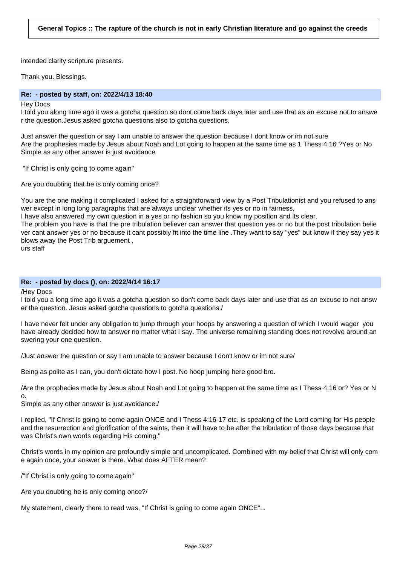intended clarity scripture presents.

Thank you. Blessings.

### **Re: - posted by staff, on: 2022/4/13 18:40**

#### Hey Docs

I told you along time ago it was a gotcha question so dont come back days later and use that as an excuse not to answe r the question.Jesus asked gotcha questions also to gotcha questions.

Just answer the question or say I am unable to answer the question because I dont know or im not sure Are the prophesies made by Jesus about Noah and Lot going to happen at the same time as 1 Thess 4:16 ?Yes or No Simple as any other answer is just avoidance

"If Christ is only going to come again"

Are you doubting that he is only coming once?

You are the one making it complicated I asked for a straightforward view by a Post Tribulationist and you refused to ans wer except in long long paragraphs that are always unclear whether its yes or no in fairness,

I have also answered my own question in a yes or no fashion so you know my position and its clear.

The problem you have is that the pre tribulation believer can answer that question yes or no but the post tribulation belie ver cant answer yes or no because it cant possibly fit into the time line .They want to say "yes" but know if they say yes it blows away the Post Trib arguement ,

urs staff

### **Re: - posted by docs (), on: 2022/4/14 16:17**

/Hey Docs

I told you a long time ago it was a gotcha question so don't come back days later and use that as an excuse to not answ er the question. Jesus asked gotcha questions to gotcha questions./

I have never felt under any obligation to jump through your hoops by answering a question of which I would wager you have already decided how to answer no matter what I say. The universe remaining standing does not revolve around an swering your one question.

/Just answer the question or say I am unable to answer because I don't know or im not sure/

Being as polite as I can, you don't dictate how I post. No hoop jumping here good bro.

/Are the prophecies made by Jesus about Noah and Lot going to happen at the same time as I Thess 4:16 or? Yes or N o.

Simple as any other answer is just avoidance./

I replied, "If Christ is going to come again ONCE and I Thess 4:16-17 etc. is speaking of the Lord coming for His people and the resurrection and glorification of the saints, then it will have to be after the tribulation of those days because that was Christ's own words regarding His coming."

Christ's words in my opinion are profoundly simple and uncomplicated. Combined with my belief that Christ will only com e again once, your answer is there. What does AFTER mean?

/"If Christ is only going to come again"

Are you doubting he is only coming once?/

My statement, clearly there to read was, "If Christ is going to come again ONCE"...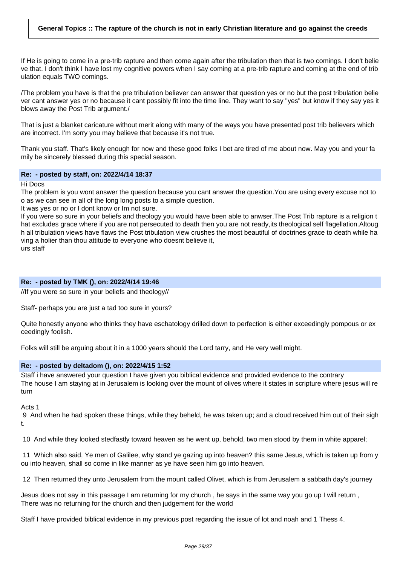If He is going to come in a pre-trib rapture and then come again after the tribulation then that is two comings. I don't belie ve that. I don't think I have lost my cognitive powers when I say coming at a pre-trib rapture and coming at the end of trib ulation equals TWO comings.

/The problem you have is that the pre tribulation believer can answer that question yes or no but the post tribulation belie ver cant answer yes or no because it cant possibly fit into the time line. They want to say "yes" but know if they say yes it blows away the Post Trib argument./

That is just a blanket caricature without merit along with many of the ways you have presented post trib believers which are incorrect. I'm sorry you may believe that because it's not true.

Thank you staff. That's likely enough for now and these good folks I bet are tired of me about now. May you and your fa mily be sincerely blessed during this special season.

#### **Re: - posted by staff, on: 2022/4/14 18:37**

Hi Docs

The problem is you wont answer the question because you cant answer the question.You are using every excuse not to o as we can see in all of the long long posts to a simple question.

It was yes or no or I dont know or Im not sure.

If you were so sure in your beliefs and theology you would have been able to anwser.The Post Trib rapture is a religion t hat excludes grace where if you are not persecuted to death then you are not ready,its theological self flagellation.Altoug h all tribulation views have flaws the Post tribulation view crushes the most beautiful of doctrines grace to death while ha ving a holier than thou attitude to everyone who doesnt believe it, urs staff

### **Re: - posted by TMK (), on: 2022/4/14 19:46**

//If you were so sure in your beliefs and theology//

Staff- perhaps you are just a tad too sure in yours?

Quite honestly anyone who thinks they have eschatology drilled down to perfection is either exceedingly pompous or ex ceedingly foolish.

Folks will still be arguing about it in a 1000 years should the Lord tarry, and He very well might.

### **Re: - posted by deltadom (), on: 2022/4/15 1:52**

Staff i have answered your question I have given you biblical evidence and provided evidence to the contrary The house I am staying at in Jerusalem is looking over the mount of olives where it states in scripture where jesus will re turn

Acts 1

9 And when he had spoken these things, while they beheld, he was taken up; and a cloud received him out of their sigh t.

10 And while they looked stedfastly toward heaven as he went up, behold, two men stood by them in white apparel;

11 Which also said, Ye men of Galilee, why stand ye gazing up into heaven? this same Jesus, which is taken up from y ou into heaven, shall so come in like manner as ye have seen him go into heaven.

12 Then returned they unto Jerusalem from the mount called Olivet, which is from Jerusalem a sabbath day's journey

Jesus does not say in this passage I am returning for my church , he says in the same way you go up I will return , There was no returning for the church and then judgement for the world

Staff I have provided biblical evidence in my previous post regarding the issue of lot and noah and 1 Thess 4.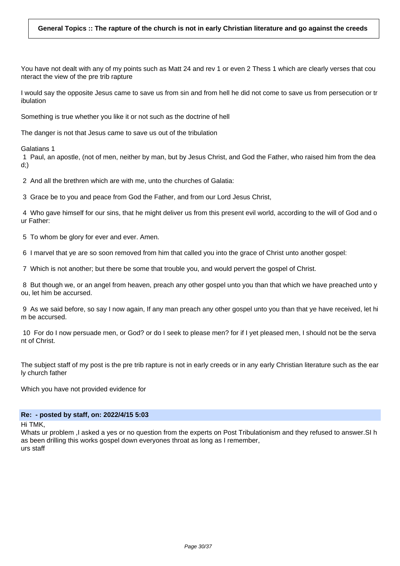You have not dealt with any of my points such as Matt 24 and rev 1 or even 2 Thess 1 which are clearly verses that cou nteract the view of the pre trib rapture

I would say the opposite Jesus came to save us from sin and from hell he did not come to save us from persecution or tr ibulation

Something is true whether you like it or not such as the doctrine of hell

The danger is not that Jesus came to save us out of the tribulation

Galatians 1

1 Paul, an apostle, (not of men, neither by man, but by Jesus Christ, and God the Father, who raised him from the dea d;)

2 And all the brethren which are with me, unto the churches of Galatia:

3 Grace be to you and peace from God the Father, and from our Lord Jesus Christ,

4 Who gave himself for our sins, that he might deliver us from this present evil world, according to the will of God and o ur Father:

5 To whom be glory for ever and ever. Amen.

6 I marvel that ye are so soon removed from him that called you into the grace of Christ unto another gospel:

7 Which is not another; but there be some that trouble you, and would pervert the gospel of Christ.

8 But though we, or an angel from heaven, preach any other gospel unto you than that which we have preached unto y ou, let him be accursed.

9 As we said before, so say I now again, If any man preach any other gospel unto you than that ye have received, let hi m be accursed.

10 For do I now persuade men, or God? or do I seek to please men? for if I yet pleased men, I should not be the serva nt of Christ.

The subject staff of my post is the pre trib rapture is not in early creeds or in any early Christian literature such as the ear ly church father

Which you have not provided evidence for

#### **Re: - posted by staff, on: 2022/4/15 5:03**

Hi TMK,

Whats ur problem ,I asked a yes or no question from the experts on Post Tribulationism and they refused to answer.SI h as been drilling this works gospel down everyones throat as long as I remember, urs staff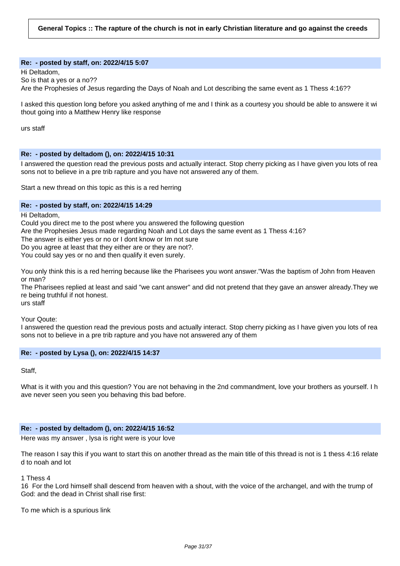#### **Re: - posted by staff, on: 2022/4/15 5:07**

Hi Deltadom, So is that a yes or a no?? Are the Prophesies of Jesus regarding the Days of Noah and Lot describing the same event as 1 Thess 4:16??

I asked this question long before you asked anything of me and I think as a courtesy you should be able to answere it wi thout going into a Matthew Henry like response

urs staff

### **Re: - posted by deltadom (), on: 2022/4/15 10:31**

I answered the question read the previous posts and actually interact. Stop cherry picking as I have given you lots of rea sons not to believe in a pre trib rapture and you have not answered any of them.

Start a new thread on this topic as this is a red herring

#### **Re: - posted by staff, on: 2022/4/15 14:29**

Hi Deltadom,

Could you direct me to the post where you answered the following question

Are the Prophesies Jesus made regarding Noah and Lot days the same event as 1 Thess 4:16?

The answer is either yes or no or I dont know or Im not sure

Do you agree at least that they either are or they are not?.

You could say yes or no and then qualify it even surely.

You only think this is a red herring because like the Pharisees you wont answer."Was the baptism of John from Heaven or man?

The Pharisees replied at least and said "we cant answer" and did not pretend that they gave an answer already.They we re being truthful if not honest.

urs staff

Your Qoute:

I answered the question read the previous posts and actually interact. Stop cherry picking as I have given you lots of rea sons not to believe in a pre trib rapture and you have not answered any of them

### **Re: - posted by Lysa (), on: 2022/4/15 14:37**

Staff,

What is it with you and this question? You are not behaving in the 2nd commandment, love your brothers as yourself. I h ave never seen you seen you behaving this bad before.

### **Re: - posted by deltadom (), on: 2022/4/15 16:52**

Here was my answer , lysa is right were is your love

The reason I say this if you want to start this on another thread as the main title of this thread is not is 1 thess 4:16 relate d to noah and lot

1 Thess 4

16 For the Lord himself shall descend from heaven with a shout, with the voice of the archangel, and with the trump of God: and the dead in Christ shall rise first:

To me which is a spurious link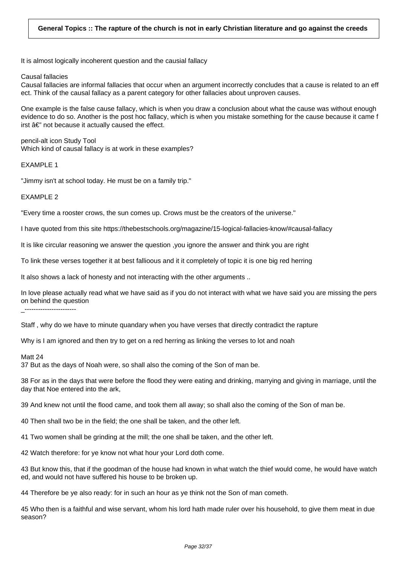It is almost logically incoherent question and the causial fallacy

Causal fallacies

Causal fallacies are informal fallacies that occur when an argument incorrectly concludes that a cause is related to an eff ect. Think of the causal fallacy as a parent category for other fallacies about unproven causes.

One example is the false cause fallacy, which is when you draw a conclusion about what the cause was without enough evidence to do so. Another is the post hoc fallacy, which is when you mistake something for the cause because it came f irst  $\hat{a}\in$ " not because it actually caused the effect.

pencil-alt icon Study Tool Which kind of causal fallacy is at work in these examples?

EXAMPLE 1

"Jimmy isn't at school today. He must be on a family trip."

**EXAMPLE 2** 

"Every time a rooster crows, the sun comes up. Crows must be the creators of the universe."

I have quoted from this site https://thebestschools.org/magazine/15-logical-fallacies-know/#causal-fallacy

It is like circular reasoning we answer the question ,you ignore the answer and think you are right

To link these verses together it at best fallioous and it it completely of topic it is one big red herring

It also shows a lack of honesty and not interacting with the other arguments ..

In love please actually read what we have said as if you do not interact with what we have said you are missing the pers on behind the question

\_--------------------<br>\_\_

Staff , why do we have to minute quandary when you have verses that directly contradict the rapture

Why is I am ignored and then try to get on a red herring as linking the verses to lot and noah

Matt 24

37 But as the days of Noah were, so shall also the coming of the Son of man be.

38 For as in the days that were before the flood they were eating and drinking, marrying and giving in marriage, until the day that Noe entered into the ark,

39 And knew not until the flood came, and took them all away; so shall also the coming of the Son of man be.

40 Then shall two be in the field; the one shall be taken, and the other left.

41 Two women shall be grinding at the mill; the one shall be taken, and the other left.

42 Watch therefore: for ye know not what hour your Lord doth come.

43 But know this, that if the goodman of the house had known in what watch the thief would come, he would have watch ed, and would not have suffered his house to be broken up.

44 Therefore be ye also ready: for in such an hour as ye think not the Son of man cometh.

45 Who then is a faithful and wise servant, whom his lord hath made ruler over his household, to give them meat in due season?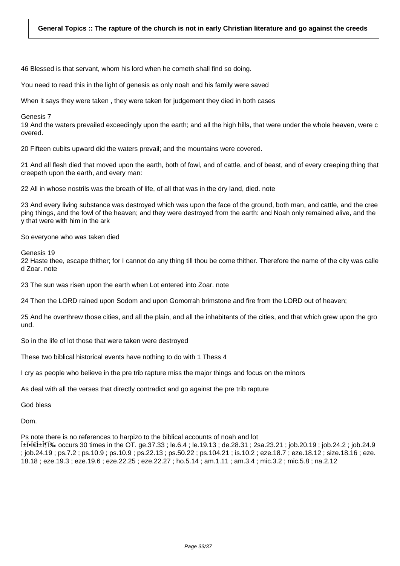46 Blessed is that servant, whom his lord when he cometh shall find so doing.

You need to read this in the light of genesis as only noah and his family were saved

When it says they were taken , they were taken for judgement they died in both cases

Genesis 7

19 And the waters prevailed exceedingly upon the earth; and all the high hills, that were under the whole heaven, were c overed.

20 Fifteen cubits upward did the waters prevail; and the mountains were covered.

21 And all flesh died that moved upon the earth, both of fowl, and of cattle, and of beast, and of every creeping thing that creepeth upon the earth, and every man:

22 All in whose nostrils was the breath of life, of all that was in the dry land, died. note

23 And every living substance was destroyed which was upon the face of the ground, both man, and cattle, and the cree ping things, and the fowl of the heaven; and they were destroyed from the earth: and Noah only remained alive, and the y that were with him in the ark

So everyone who was taken died

Genesis 19

22 Haste thee, escape thither; for I cannot do any thing till thou be come thither. Therefore the name of the city was calle d Zoar. note

23 The sun was risen upon the earth when Lot entered into Zoar. note

24 Then the LORD rained upon Sodom and upon Gomorrah brimstone and fire from the LORD out of heaven;

25 And he overthrew those cities, and all the plain, and all the inhabitants of the cities, and that which grew upon the gro und.

So in the life of lot those that were taken were destroyed

These two biblical historical events have nothing to do with 1 Thess 4

I cry as people who believe in the pre trib rapture miss the major things and focus on the minors

As deal with all the verses that directly contradict and go against the pre trib rapture

God bless

Dom.

Ps note there is no references to harpizo to the biblical accounts of noah and lot

 $\hat{H}$  $\hat{H}$  $\hat{H}$  $\hat{H}$  $\hat{H}$  $\hat{H}$  $\hat{H}$  occurs 30 times in the OT. ge.37.33 ; le.6.4 ; le.19.13 ; de.28.31 ; 2sa.23.21 ; job.20.19 ; job.24.2 ; job.24.9 ; job.24.19 ; ps.7.2 ; ps.10.9 ; ps.10.9 ; ps.22.13 ; ps.50.22 ; ps.104.21 ; is.10.2 ; eze.18.7 ; eze.18.12 ; size.18.16 ; eze. 18.18 ; eze.19.3 ; eze.19.6 ; eze.22.25 ; eze.22.27 ; ho.5.14 ; am.1.11 ; am.3.4 ; mic.3.2 ; mic.5.8 ; na.2.12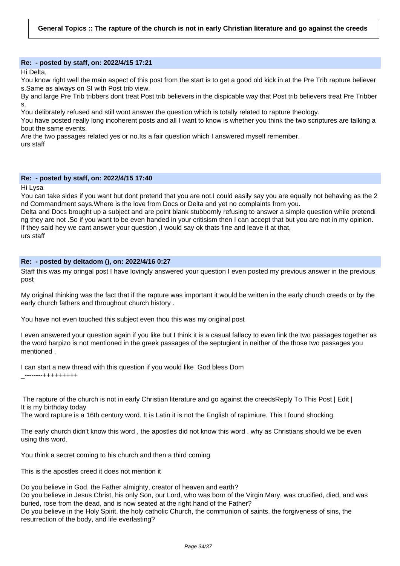# **Re: - posted by staff, on: 2022/4/15 17:21**

Hi Delta,

You know right well the main aspect of this post from the start is to get a good old kick in at the Pre Trib rapture believer s.Same as always on SI with Post trib view.

By and large Pre Trib tribbers dont treat Post trib believers in the dispicable way that Post trib believers treat Pre Tribber s.

You delibrately refused and still wont answer the question which is totally related to rapture theology.

You have posted really long incoherent posts and all I want to know is whether you think the two scriptures are talking a bout the same events.

Are the two passages related yes or no.Its a fair question which I answered myself remember. urs staff

# **Re: - posted by staff, on: 2022/4/15 17:40**

Hi Lysa

You can take sides if you want but dont pretend that you are not.I could easily say you are equally not behaving as the 2 nd Commandment says.Where is the love from Docs or Delta and yet no complaints from you.

Delta and Docs brought up a subject and are point blank stubbornly refusing to answer a simple question while pretendi ng they are not .So if you want to be even handed in your critisism then I can accept that but you are not in my opinion. If they said hey we cant answer your question, I would say ok thats fine and leave it at that, urs staff

# **Re: - posted by deltadom (), on: 2022/4/16 0:27**

Staff this was my oringal post I have lovingly answered your question I even posted my previous answer in the previous post

My original thinking was the fact that if the rapture was important it would be written in the early church creeds or by the early church fathers and throughout church history .

You have not even touched this subject even thou this was my original post

I even answered your question again if you like but I think it is a casual fallacy to even link the two passages together as the word harpizo is not mentioned in the greek passages of the septugient in neither of the those two passages you mentioned .

I can start a new thread with this question if you would like God bless Dom \_--------+++++++++

The rapture of the church is not in early Christian literature and go against the creeds Reply To This Post | Edit | It is my birthday today

The word rapture is a 16th century word. It is Latin it is not the English of rapimiure. This I found shocking.

The early church didn't know this word , the apostles did not know this word , why as Christians should we be even using this word.

You think a secret coming to his church and then a third coming

This is the apostles creed it does not mention it

Do you believe in God, the Father almighty, creator of heaven and earth?

Do you believe in Jesus Christ, his only Son, our Lord, who was born of the Virgin Mary, was crucified, died, and was buried, rose from the dead, and is now seated at the right hand of the Father?

Do you believe in the Holy Spirit, the holy catholic Church, the communion of saints, the forgiveness of sins, the resurrection of the body, and life everlasting?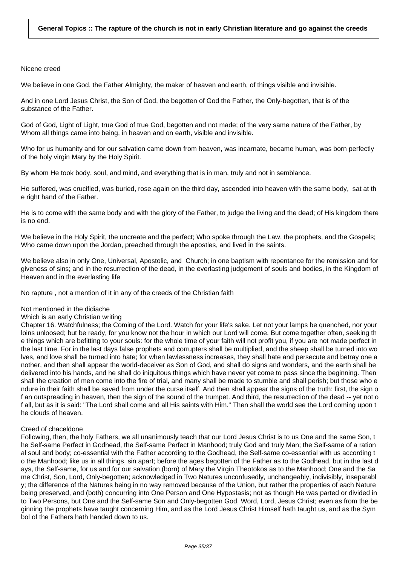### Nicene creed

We believe in one God, the Father Almighty, the maker of heaven and earth, of things visible and invisible.

And in one Lord Jesus Christ, the Son of God, the begotten of God the Father, the Only-begotten, that is of the substance of the Father.

God of God, Light of Light, true God of true God, begotten and not made; of the very same nature of the Father, by Whom all things came into being, in heaven and on earth, visible and invisible.

Who for us humanity and for our salvation came down from heaven, was incarnate, became human, was born perfectly of the holy virgin Mary by the Holy Spirit.

By whom He took body, soul, and mind, and everything that is in man, truly and not in semblance.

He suffered, was crucified, was buried, rose again on the third day, ascended into heaven with the same body, sat at th e right hand of the Father.

He is to come with the same body and with the glory of the Father, to judge the living and the dead; of His kingdom there is no end.

We believe in the Holy Spirit, the uncreate and the perfect; Who spoke through the Law, the prophets, and the Gospels; Who came down upon the Jordan, preached through the apostles, and lived in the saints.

We believe also in only One, Universal, Apostolic, and Church; in one baptism with repentance for the remission and for giveness of sins; and in the resurrection of the dead, in the everlasting judgement of souls and bodies, in the Kingdom of Heaven and in the everlasting life

No rapture , not a mention of it in any of the creeds of the Christian faith

### Not mentioned in the didiache

### Which is an early Christian writing

Chapter 16. Watchfulness; the Coming of the Lord. Watch for your life's sake. Let not your lamps be quenched, nor your loins unloosed; but be ready, for you know not the hour in which our Lord will come. But come together often, seeking th e things which are befitting to your souls: for the whole time of your faith will not profit you, if you are not made perfect in the last time. For in the last days false prophets and corrupters shall be multiplied, and the sheep shall be turned into wo lves, and love shall be turned into hate; for when lawlessness increases, they shall hate and persecute and betray one a nother, and then shall appear the world-deceiver as Son of God, and shall do signs and wonders, and the earth shall be delivered into his hands, and he shall do iniquitous things which have never yet come to pass since the beginning. Then shall the creation of men come into the fire of trial, and many shall be made to stumble and shall perish; but those who e ndure in their faith shall be saved from under the curse itself. And then shall appear the signs of the truth: first, the sign o f an outspreading in heaven, then the sign of the sound of the trumpet. And third, the resurrection of the dead -- yet not o f all, but as it is said: "The Lord shall come and all His saints with Him." Then shall the world see the Lord coming upon t he clouds of heaven.

### Creed of chaceldone

Following, then, the holy Fathers, we all unanimously teach that our Lord Jesus Christ is to us One and the same Son, t he Self-same Perfect in Godhead, the Self-same Perfect in Manhood; truly God and truly Man; the Self-same of a ration al soul and body; co-essential with the Father according to the Godhead, the Self-same co-essential with us according t o the Manhood; like us in all things, sin apart; before the ages begotten of the Father as to the Godhead, but in the last d ays, the Self-same, for us and for our salvation (born) of Mary the Virgin Theotokos as to the Manhood; One and the Sa me Christ, Son, Lord, Only-begotten; acknowledged in Two Natures unconfusedly, unchangeably, indivisibly, inseparabl y; the difference of the Natures being in no way removed because of the Union, but rather the properties of each Nature being preserved, and (both) concurring into One Person and One Hypostasis; not as though He was parted or divided in to Two Persons, but One and the Self-same Son and Only-begotten God, Word, Lord, Jesus Christ; even as from the be ginning the prophets have taught concerning Him, and as the Lord Jesus Christ Himself hath taught us, and as the Sym bol of the Fathers hath handed down to us.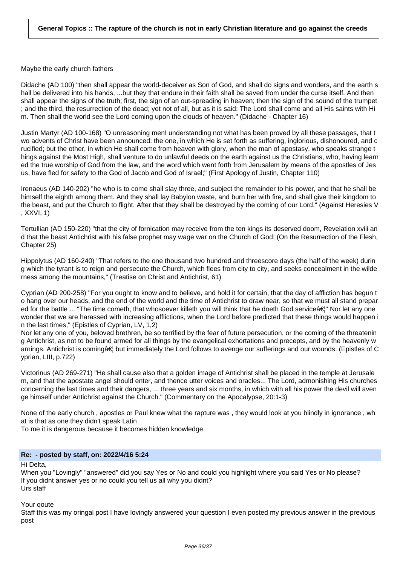Maybe the early church fathers

Didache (AD 100) "then shall appear the world-deceiver as Son of God, and shall do signs and wonders, and the earth s hall be delivered into his hands, ...but they that endure in their faith shall be saved from under the curse itself. And then shall appear the signs of the truth; first, the sign of an out-spreading in heaven; then the sign of the sound of the trumpet ; and the third, the resurrection of the dead; yet not of all, but as it is said: The Lord shall come and all His saints with Hi m. Then shall the world see the Lord coming upon the clouds of heaven." (Didache - Chapter 16)

Justin Martyr (AD 100-168) "O unreasoning men! understanding not what has been proved by all these passages, that t wo advents of Christ have been announced: the one, in which He is set forth as suffering, inglorious, dishonoured, and c rucified; but the other, in which He shall come from heaven with glory, when the man of apostasy, who speaks strange t hings against the Most High, shall venture to do unlawful deeds on the earth against us the Christians, who, having learn ed the true worship of God from the law, and the word which went forth from Jerusalem by means of the apostles of Jes us, have fled for safety to the God of Jacob and God of Israel;" (First Apology of Justin, Chapter 110)

Irenaeus (AD 140-202) "he who is to come shall slay three, and subject the remainder to his power, and that he shall be himself the eighth among them. And they shall lay Babylon waste, and burn her with fire, and shall give their kingdom to the beast, and put the Church to flight. After that they shall be destroyed by the coming of our Lord." (Against Heresies V , XXVI, 1)

Tertullian (AD 150-220) "that the city of fornication may receive from the ten kings its deserved doom, Revelation xviii an d that the beast Antichrist with his false prophet may wage war on the Church of God; (On the Resurrection of the Flesh, Chapter 25)

Hippolytus (AD 160-240) "That refers to the one thousand two hundred and threescore days (the half of the week) durin g which the tyrant is to reign and persecute the Church, which flees from city to city, and seeks concealment in the wilde rness among the mountains," (Treatise on Christ and Antichrist, 61)

Cyprian (AD 200-258) "For you ought to know and to believe, and hold it for certain, that the day of affliction has begun t o hang over our heads, and the end of the world and the time of Antichrist to draw near, so that we must all stand prepar ed for the battle ... "The time cometh, that whosoever killeth you will think that he doeth God service a is Nor let any one wonder that we are harassed with increasing afflictions, when the Lord before predicted that these things would happen i n the last times," (Epistles of Cyprian, LV, 1,2)

Nor let any one of you, beloved brethren, be so terrified by the fear of future persecution, or the coming of the threatenin g Antichrist, as not to be found armed for all things by the evangelical exhortations and precepts, and by the heavenly w arnings. Antichrist is coming†but immediately the Lord follows to avenge our sufferings and our wounds. (Epistles of C yprian, LIII, p.722)

Victorinus (AD 269-271) "He shall cause also that a golden image of Antichrist shall be placed in the temple at Jerusale m, and that the apostate angel should enter, and thence utter voices and oracles... The Lord, admonishing His churches concerning the last times and their dangers, ... three years and six months, in which with all his power the devil will aven ge himself under Antichrist against the Church." (Commentary on the Apocalypse, 20:1-3)

None of the early church , apostles or Paul knew what the rapture was , they would look at you blindly in ignorance , wh at is that as one they didn't speak Latin

To me it is dangerous because it becomes hidden knowledge

# **Re: - posted by staff, on: 2022/4/16 5:24**

Hi Delta,

When you "Lovingly" "answered" did you say Yes or No and could you highlight where you said Yes or No please? If you didnt answer yes or no could you tell us all why you didnt? Urs staff

Your qoute

Staff this was my oringal post I have lovingly answered your question I even posted my previous answer in the previous post